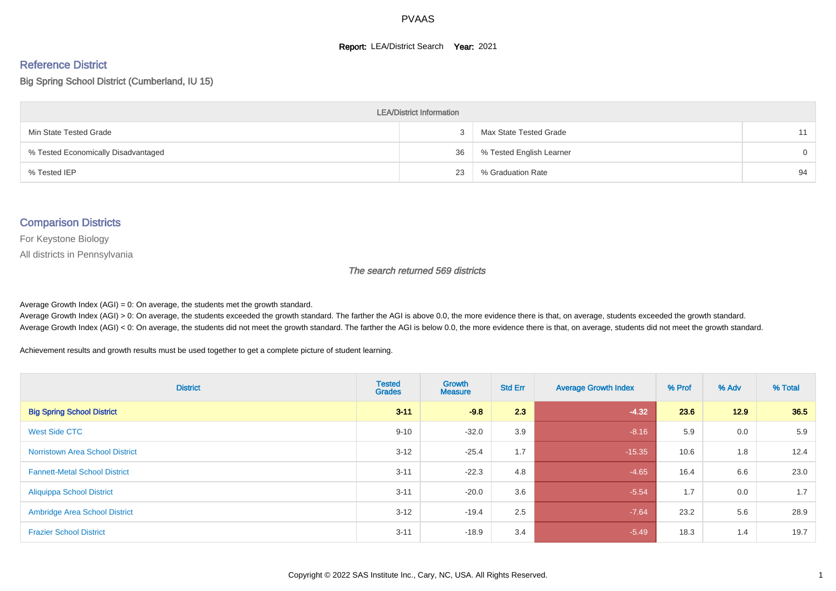#### **Report: LEA/District Search Year: 2021**

# Reference District

Big Spring School District (Cumberland, IU 15)

| <b>LEA/District Information</b>     |    |                          |          |  |  |  |  |  |  |  |
|-------------------------------------|----|--------------------------|----------|--|--|--|--|--|--|--|
| Min State Tested Grade              |    | Max State Tested Grade   | 11       |  |  |  |  |  |  |  |
| % Tested Economically Disadvantaged | 36 | % Tested English Learner | $\Omega$ |  |  |  |  |  |  |  |
| % Tested IEP                        | 23 | % Graduation Rate        | 94       |  |  |  |  |  |  |  |

#### Comparison Districts

For Keystone Biology

All districts in Pennsylvania

The search returned 569 districts

Average Growth Index  $(AGI) = 0$ : On average, the students met the growth standard.

Average Growth Index (AGI) > 0: On average, the students exceeded the growth standard. The farther the AGI is above 0.0, the more evidence there is that, on average, students exceeded the growth standard. Average Growth Index (AGI) < 0: On average, the students did not meet the growth standard. The farther the AGI is below 0.0, the more evidence there is that, on average, students did not meet the growth standard.

Achievement results and growth results must be used together to get a complete picture of student learning.

| <b>District</b>                        | <b>Tested</b><br><b>Grades</b> | Growth<br><b>Measure</b> | <b>Std Err</b> | <b>Average Growth Index</b> | % Prof | % Adv | % Total |
|----------------------------------------|--------------------------------|--------------------------|----------------|-----------------------------|--------|-------|---------|
| <b>Big Spring School District</b>      | $3 - 11$                       | $-9.8$                   | 2.3            | $-4.32$                     | 23.6   | 12.9  | 36.5    |
| West Side CTC                          | $9 - 10$                       | $-32.0$                  | 3.9            | $-8.16$                     | 5.9    | 0.0   | 5.9     |
| <b>Norristown Area School District</b> | $3 - 12$                       | $-25.4$                  | 1.7            | $-15.35$                    | 10.6   | 1.8   | 12.4    |
| <b>Fannett-Metal School District</b>   | $3 - 11$                       | $-22.3$                  | 4.8            | $-4.65$                     | 16.4   | 6.6   | 23.0    |
| <b>Aliquippa School District</b>       | $3 - 11$                       | $-20.0$                  | 3.6            | $-5.54$                     | 1.7    | 0.0   | 1.7     |
| <b>Ambridge Area School District</b>   | $3 - 12$                       | $-19.4$                  | 2.5            | $-7.64$                     | 23.2   | 5.6   | 28.9    |
| <b>Frazier School District</b>         | $3 - 11$                       | $-18.9$                  | 3.4            | $-5.49$                     | 18.3   | 1.4   | 19.7    |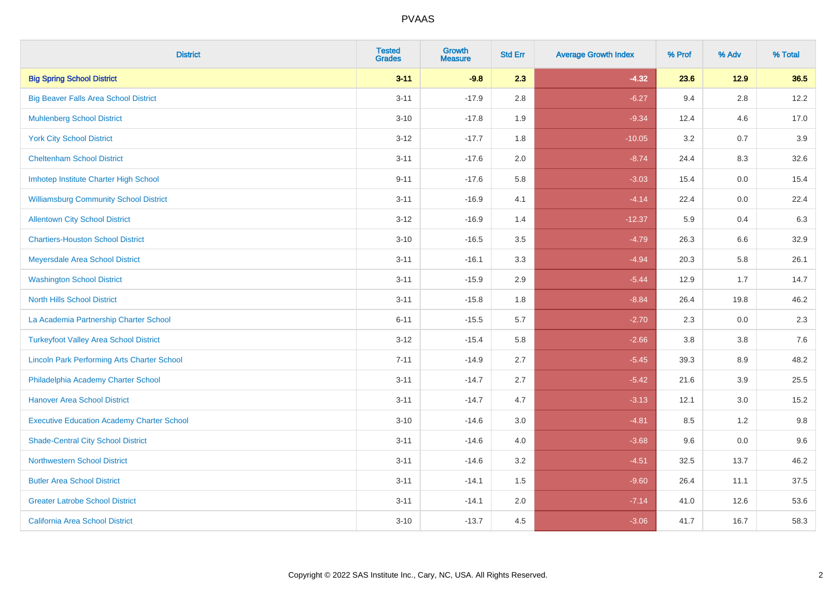| <b>District</b>                                    | <b>Tested</b><br><b>Grades</b> | Growth<br><b>Measure</b> | <b>Std Err</b> | <b>Average Growth Index</b> | % Prof | % Adv   | % Total |
|----------------------------------------------------|--------------------------------|--------------------------|----------------|-----------------------------|--------|---------|---------|
| <b>Big Spring School District</b>                  | $3 - 11$                       | $-9.8$                   | 2.3            | $-4.32$                     | 23.6   | $12.9$  | 36.5    |
| <b>Big Beaver Falls Area School District</b>       | $3 - 11$                       | $-17.9$                  | 2.8            | $-6.27$                     | 9.4    | 2.8     | 12.2    |
| <b>Muhlenberg School District</b>                  | $3 - 10$                       | $-17.8$                  | 1.9            | $-9.34$                     | 12.4   | 4.6     | 17.0    |
| <b>York City School District</b>                   | $3 - 12$                       | $-17.7$                  | 1.8            | $-10.05$                    | 3.2    | 0.7     | 3.9     |
| <b>Cheltenham School District</b>                  | $3 - 11$                       | $-17.6$                  | 2.0            | $-8.74$                     | 24.4   | 8.3     | 32.6    |
| Imhotep Institute Charter High School              | $9 - 11$                       | $-17.6$                  | 5.8            | $-3.03$                     | 15.4   | 0.0     | 15.4    |
| <b>Williamsburg Community School District</b>      | $3 - 11$                       | $-16.9$                  | 4.1            | $-4.14$                     | 22.4   | $0.0\,$ | 22.4    |
| <b>Allentown City School District</b>              | $3 - 12$                       | $-16.9$                  | 1.4            | $-12.37$                    | 5.9    | 0.4     | 6.3     |
| <b>Chartiers-Houston School District</b>           | $3 - 10$                       | $-16.5$                  | 3.5            | $-4.79$                     | 26.3   | 6.6     | 32.9    |
| Meyersdale Area School District                    | $3 - 11$                       | $-16.1$                  | 3.3            | $-4.94$                     | 20.3   | 5.8     | 26.1    |
| <b>Washington School District</b>                  | $3 - 11$                       | $-15.9$                  | 2.9            | $-5.44$                     | 12.9   | 1.7     | 14.7    |
| <b>North Hills School District</b>                 | $3 - 11$                       | $-15.8$                  | 1.8            | $-8.84$                     | 26.4   | 19.8    | 46.2    |
| La Academia Partnership Charter School             | $6 - 11$                       | $-15.5$                  | 5.7            | $-2.70$                     | 2.3    | 0.0     | 2.3     |
| <b>Turkeyfoot Valley Area School District</b>      | $3-12$                         | $-15.4$                  | 5.8            | $-2.66$                     | 3.8    | $3.8\,$ | 7.6     |
| <b>Lincoln Park Performing Arts Charter School</b> | $7 - 11$                       | $-14.9$                  | 2.7            | $-5.45$                     | 39.3   | 8.9     | 48.2    |
| Philadelphia Academy Charter School                | $3 - 11$                       | $-14.7$                  | 2.7            | $-5.42$                     | 21.6   | 3.9     | 25.5    |
| <b>Hanover Area School District</b>                | $3 - 11$                       | $-14.7$                  | 4.7            | $-3.13$                     | 12.1   | 3.0     | 15.2    |
| <b>Executive Education Academy Charter School</b>  | $3 - 10$                       | $-14.6$                  | 3.0            | $-4.81$                     | 8.5    | 1.2     | 9.8     |
| <b>Shade-Central City School District</b>          | $3 - 11$                       | $-14.6$                  | 4.0            | $-3.68$                     | 9.6    | 0.0     | 9.6     |
| <b>Northwestern School District</b>                | $3 - 11$                       | $-14.6$                  | 3.2            | $-4.51$                     | 32.5   | 13.7    | 46.2    |
| <b>Butler Area School District</b>                 | $3 - 11$                       | $-14.1$                  | 1.5            | $-9.60$                     | 26.4   | 11.1    | 37.5    |
| <b>Greater Latrobe School District</b>             | $3 - 11$                       | $-14.1$                  | 2.0            | $-7.14$                     | 41.0   | 12.6    | 53.6    |
| <b>California Area School District</b>             | $3 - 10$                       | $-13.7$                  | 4.5            | $-3.06$                     | 41.7   | 16.7    | 58.3    |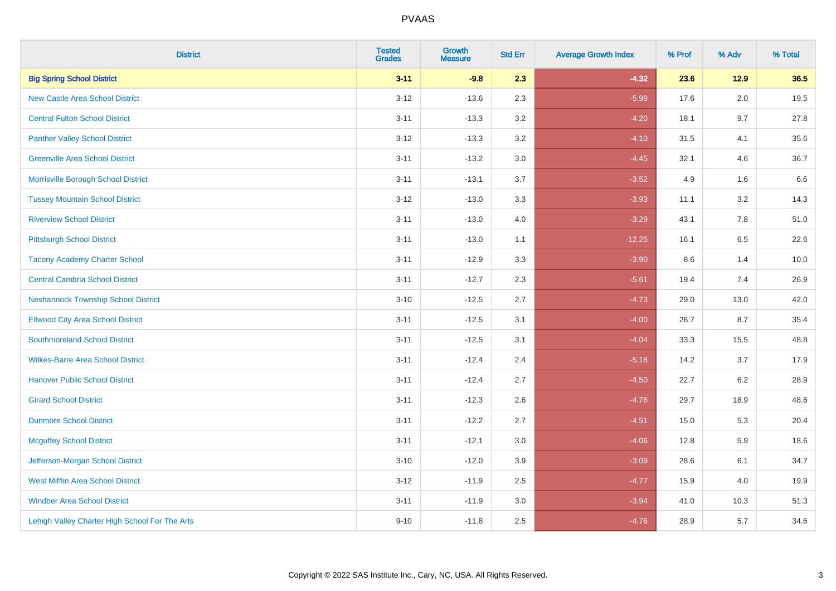| <b>District</b>                                | <b>Tested</b><br><b>Grades</b> | Growth<br><b>Measure</b> | <b>Std Err</b> | <b>Average Growth Index</b> | % Prof | % Adv   | % Total |
|------------------------------------------------|--------------------------------|--------------------------|----------------|-----------------------------|--------|---------|---------|
| <b>Big Spring School District</b>              | $3 - 11$                       | $-9.8$                   | 2.3            | $-4.32$                     | 23.6   | $12.9$  | 36.5    |
| <b>New Castle Area School District</b>         | $3 - 12$                       | $-13.6$                  | 2.3            | $-5.99$                     | 17.6   | 2.0     | 19.5    |
| <b>Central Fulton School District</b>          | $3 - 11$                       | $-13.3$                  | 3.2            | $-4.20$                     | 18.1   | 9.7     | 27.8    |
| <b>Panther Valley School District</b>          | $3-12$                         | $-13.3$                  | 3.2            | $-4.10$                     | 31.5   | 4.1     | 35.6    |
| <b>Greenville Area School District</b>         | $3 - 11$                       | $-13.2$                  | 3.0            | $-4.45$                     | 32.1   | 4.6     | 36.7    |
| Morrisville Borough School District            | $3 - 11$                       | $-13.1$                  | 3.7            | $-3.52$                     | 4.9    | 1.6     | 6.6     |
| <b>Tussey Mountain School District</b>         | $3 - 12$                       | $-13.0$                  | 3.3            | $-3.93$                     | 11.1   | $3.2\,$ | 14.3    |
| <b>Riverview School District</b>               | $3 - 11$                       | $-13.0$                  | 4.0            | $-3.29$                     | 43.1   | 7.8     | 51.0    |
| <b>Pittsburgh School District</b>              | $3 - 11$                       | $-13.0$                  | 1.1            | $-12.25$                    | 16.1   | 6.5     | 22.6    |
| <b>Tacony Academy Charter School</b>           | $3 - 11$                       | $-12.9$                  | 3.3            | $-3.90$                     | 8.6    | 1.4     | 10.0    |
| <b>Central Cambria School District</b>         | $3 - 11$                       | $-12.7$                  | 2.3            | $-5.61$                     | 19.4   | 7.4     | 26.9    |
| <b>Neshannock Township School District</b>     | $3 - 10$                       | $-12.5$                  | 2.7            | $-4.73$                     | 29.0   | 13.0    | 42.0    |
| <b>Ellwood City Area School District</b>       | $3 - 11$                       | $-12.5$                  | 3.1            | $-4.00$                     | 26.7   | 8.7     | 35.4    |
| <b>Southmoreland School District</b>           | $3 - 11$                       | $-12.5$                  | 3.1            | $-4.04$                     | 33.3   | 15.5    | 48.8    |
| <b>Wilkes-Barre Area School District</b>       | $3 - 11$                       | $-12.4$                  | 2.4            | $-5.18$                     | 14.2   | 3.7     | 17.9    |
| <b>Hanover Public School District</b>          | $3 - 11$                       | $-12.4$                  | 2.7            | $-4.50$                     | 22.7   | 6.2     | 28.9    |
| <b>Girard School District</b>                  | $3 - 11$                       | $-12.3$                  | 2.6            | $-4.76$                     | 29.7   | 18.9    | 48.6    |
| <b>Dunmore School District</b>                 | $3 - 11$                       | $-12.2$                  | 2.7            | $-4.51$                     | 15.0   | 5.3     | 20.4    |
| <b>Mcguffey School District</b>                | $3 - 11$                       | $-12.1$                  | 3.0            | $-4.06$                     | 12.8   | 5.9     | 18.6    |
| Jefferson-Morgan School District               | $3 - 10$                       | $-12.0$                  | 3.9            | $-3.09$                     | 28.6   | 6.1     | 34.7    |
| <b>West Mifflin Area School District</b>       | $3-12$                         | $-11.9$                  | 2.5            | $-4.77$                     | 15.9   | 4.0     | 19.9    |
| <b>Windber Area School District</b>            | $3 - 11$                       | $-11.9$                  | 3.0            | $-3.94$                     | 41.0   | 10.3    | 51.3    |
| Lehigh Valley Charter High School For The Arts | $9 - 10$                       | $-11.8$                  | 2.5            | $-4.76$                     | 28.9   | 5.7     | 34.6    |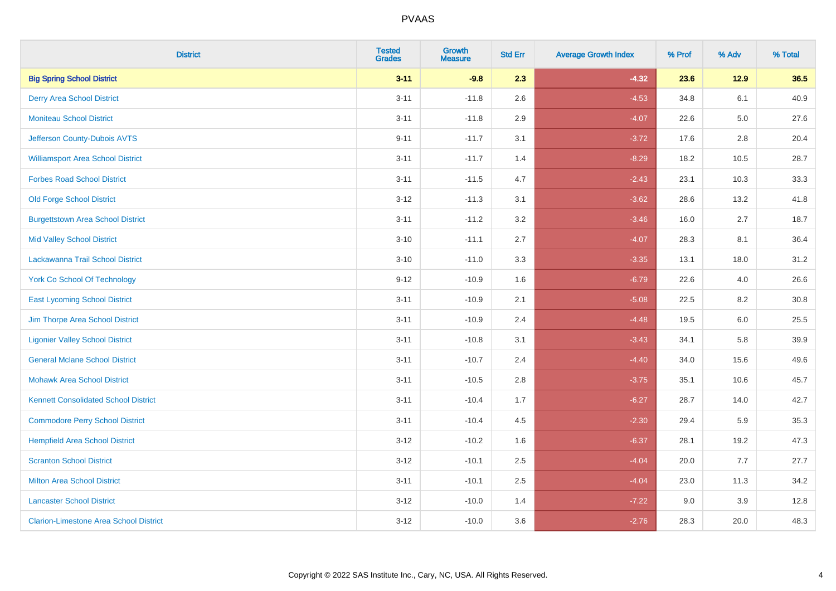| <b>District</b>                               | <b>Tested</b><br><b>Grades</b> | Growth<br><b>Measure</b> | <b>Std Err</b> | <b>Average Growth Index</b> | % Prof | % Adv   | % Total |
|-----------------------------------------------|--------------------------------|--------------------------|----------------|-----------------------------|--------|---------|---------|
| <b>Big Spring School District</b>             | $3 - 11$                       | $-9.8$                   | 2.3            | $-4.32$                     | 23.6   | 12.9    | 36.5    |
| <b>Derry Area School District</b>             | $3 - 11$                       | $-11.8$                  | 2.6            | $-4.53$                     | 34.8   | 6.1     | 40.9    |
| <b>Moniteau School District</b>               | $3 - 11$                       | $-11.8$                  | 2.9            | $-4.07$                     | 22.6   | $5.0\,$ | 27.6    |
| Jefferson County-Dubois AVTS                  | $9 - 11$                       | $-11.7$                  | 3.1            | $-3.72$                     | 17.6   | $2.8\,$ | 20.4    |
| <b>Williamsport Area School District</b>      | $3 - 11$                       | $-11.7$                  | 1.4            | $-8.29$                     | 18.2   | 10.5    | 28.7    |
| <b>Forbes Road School District</b>            | $3 - 11$                       | $-11.5$                  | 4.7            | $-2.43$                     | 23.1   | 10.3    | 33.3    |
| <b>Old Forge School District</b>              | $3 - 12$                       | $-11.3$                  | 3.1            | $-3.62$                     | 28.6   | 13.2    | 41.8    |
| <b>Burgettstown Area School District</b>      | $3 - 11$                       | $-11.2$                  | 3.2            | $-3.46$                     | 16.0   | 2.7     | 18.7    |
| <b>Mid Valley School District</b>             | $3 - 10$                       | $-11.1$                  | 2.7            | $-4.07$                     | 28.3   | 8.1     | 36.4    |
| Lackawanna Trail School District              | $3 - 10$                       | $-11.0$                  | 3.3            | $-3.35$                     | 13.1   | 18.0    | 31.2    |
| <b>York Co School Of Technology</b>           | $9 - 12$                       | $-10.9$                  | 1.6            | $-6.79$                     | 22.6   | 4.0     | 26.6    |
| <b>East Lycoming School District</b>          | $3 - 11$                       | $-10.9$                  | 2.1            | $-5.08$                     | 22.5   | 8.2     | 30.8    |
| Jim Thorpe Area School District               | $3 - 11$                       | $-10.9$                  | 2.4            | $-4.48$                     | 19.5   | 6.0     | 25.5    |
| <b>Ligonier Valley School District</b>        | $3 - 11$                       | $-10.8$                  | 3.1            | $-3.43$                     | 34.1   | 5.8     | 39.9    |
| <b>General Mclane School District</b>         | $3 - 11$                       | $-10.7$                  | 2.4            | $-4.40$                     | 34.0   | 15.6    | 49.6    |
| <b>Mohawk Area School District</b>            | $3 - 11$                       | $-10.5$                  | 2.8            | $-3.75$                     | 35.1   | 10.6    | 45.7    |
| <b>Kennett Consolidated School District</b>   | $3 - 11$                       | $-10.4$                  | 1.7            | $-6.27$                     | 28.7   | 14.0    | 42.7    |
| <b>Commodore Perry School District</b>        | $3 - 11$                       | $-10.4$                  | 4.5            | $-2.30$                     | 29.4   | 5.9     | 35.3    |
| <b>Hempfield Area School District</b>         | $3 - 12$                       | $-10.2$                  | 1.6            | $-6.37$                     | 28.1   | 19.2    | 47.3    |
| <b>Scranton School District</b>               | $3 - 12$                       | $-10.1$                  | 2.5            | $-4.04$                     | 20.0   | 7.7     | 27.7    |
| <b>Milton Area School District</b>            | $3 - 11$                       | $-10.1$                  | 2.5            | $-4.04$                     | 23.0   | 11.3    | 34.2    |
| <b>Lancaster School District</b>              | $3 - 12$                       | $-10.0$                  | 1.4            | $-7.22$                     | 9.0    | 3.9     | 12.8    |
| <b>Clarion-Limestone Area School District</b> | $3 - 12$                       | $-10.0$                  | 3.6            | $-2.76$                     | 28.3   | 20.0    | 48.3    |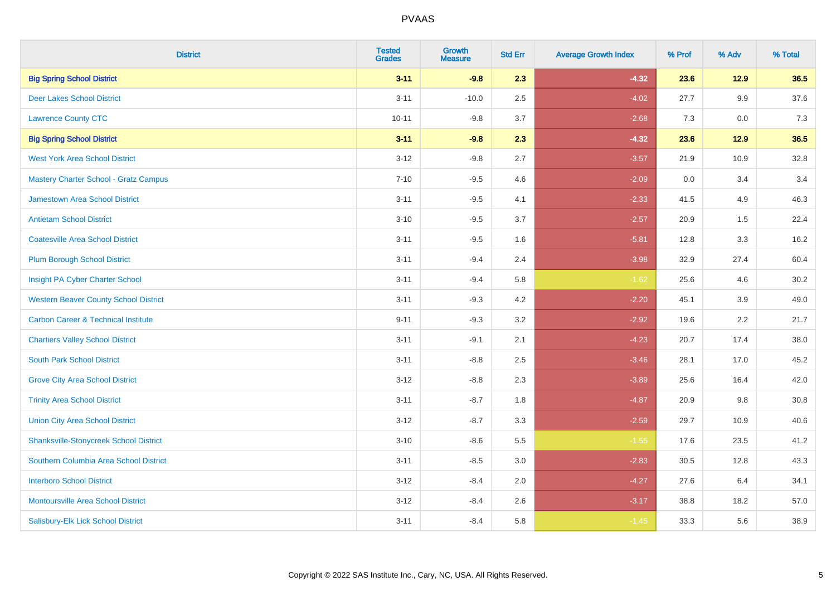| <b>District</b>                                | <b>Tested</b><br><b>Grades</b> | <b>Growth</b><br><b>Measure</b> | <b>Std Err</b> | <b>Average Growth Index</b> | % Prof | % Adv  | % Total |
|------------------------------------------------|--------------------------------|---------------------------------|----------------|-----------------------------|--------|--------|---------|
| <b>Big Spring School District</b>              | $3 - 11$                       | $-9.8$                          | 2.3            | $-4.32$                     | 23.6   | $12.9$ | 36.5    |
| <b>Deer Lakes School District</b>              | $3 - 11$                       | $-10.0$                         | 2.5            | $-4.02$                     | 27.7   | 9.9    | 37.6    |
| <b>Lawrence County CTC</b>                     | $10 - 11$                      | $-9.8$                          | 3.7            | $-2.68$                     | 7.3    | 0.0    | 7.3     |
| <b>Big Spring School District</b>              | $3 - 11$                       | $-9.8$                          | 2.3            | $-4.32$                     | 23.6   | $12.9$ | 36.5    |
| <b>West York Area School District</b>          | $3 - 12$                       | $-9.8$                          | 2.7            | $-3.57$                     | 21.9   | 10.9   | 32.8    |
| <b>Mastery Charter School - Gratz Campus</b>   | $7 - 10$                       | $-9.5$                          | 4.6            | $-2.09$                     | 0.0    | 3.4    | 3.4     |
| Jamestown Area School District                 | $3 - 11$                       | $-9.5$                          | 4.1            | $-2.33$                     | 41.5   | 4.9    | 46.3    |
| <b>Antietam School District</b>                | $3 - 10$                       | $-9.5$                          | 3.7            | $-2.57$                     | 20.9   | 1.5    | 22.4    |
| <b>Coatesville Area School District</b>        | $3 - 11$                       | $-9.5$                          | 1.6            | $-5.81$                     | 12.8   | 3.3    | 16.2    |
| <b>Plum Borough School District</b>            | $3 - 11$                       | $-9.4$                          | 2.4            | $-3.98$                     | 32.9   | 27.4   | 60.4    |
| Insight PA Cyber Charter School                | $3 - 11$                       | $-9.4$                          | 5.8            | $-1.62$                     | 25.6   | 4.6    | 30.2    |
| <b>Western Beaver County School District</b>   | $3 - 11$                       | $-9.3$                          | 4.2            | $-2.20$                     | 45.1   | 3.9    | 49.0    |
| <b>Carbon Career &amp; Technical Institute</b> | $9 - 11$                       | $-9.3$                          | 3.2            | $-2.92$                     | 19.6   | 2.2    | 21.7    |
| <b>Chartiers Valley School District</b>        | $3 - 11$                       | $-9.1$                          | 2.1            | $-4.23$                     | 20.7   | 17.4   | 38.0    |
| <b>South Park School District</b>              | $3 - 11$                       | $-8.8$                          | 2.5            | $-3.46$                     | 28.1   | 17.0   | 45.2    |
| <b>Grove City Area School District</b>         | $3 - 12$                       | $-8.8$                          | 2.3            | $-3.89$                     | 25.6   | 16.4   | 42.0    |
| <b>Trinity Area School District</b>            | $3 - 11$                       | $-8.7$                          | 1.8            | $-4.87$                     | 20.9   | 9.8    | 30.8    |
| <b>Union City Area School District</b>         | $3 - 12$                       | $-8.7$                          | 3.3            | $-2.59$                     | 29.7   | 10.9   | 40.6    |
| <b>Shanksville-Stonycreek School District</b>  | $3 - 10$                       | $-8.6$                          | 5.5            | $-1.55$                     | 17.6   | 23.5   | 41.2    |
| Southern Columbia Area School District         | $3 - 11$                       | $-8.5$                          | 3.0            | $-2.83$                     | 30.5   | 12.8   | 43.3    |
| <b>Interboro School District</b>               | $3 - 12$                       | $-8.4$                          | 2.0            | $-4.27$                     | 27.6   | 6.4    | 34.1    |
| <b>Montoursville Area School District</b>      | $3 - 12$                       | $-8.4$                          | 2.6            | $-3.17$                     | 38.8   | 18.2   | 57.0    |
| Salisbury-Elk Lick School District             | $3 - 11$                       | $-8.4$                          | 5.8            | $-1.45$                     | 33.3   | 5.6    | 38.9    |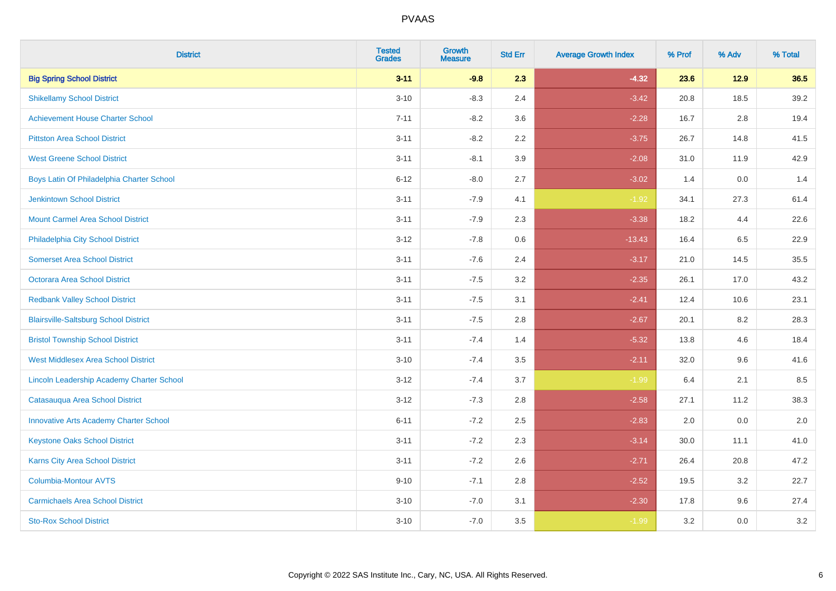| <b>District</b>                               | <b>Tested</b><br><b>Grades</b> | Growth<br><b>Measure</b> | <b>Std Err</b> | <b>Average Growth Index</b> | % Prof | % Adv | % Total |
|-----------------------------------------------|--------------------------------|--------------------------|----------------|-----------------------------|--------|-------|---------|
| <b>Big Spring School District</b>             | $3 - 11$                       | $-9.8$                   | 2.3            | $-4.32$                     | 23.6   | 12.9  | 36.5    |
| <b>Shikellamy School District</b>             | $3 - 10$                       | $-8.3$                   | 2.4            | $-3.42$                     | 20.8   | 18.5  | 39.2    |
| <b>Achievement House Charter School</b>       | $7 - 11$                       | $-8.2$                   | 3.6            | $-2.28$                     | 16.7   | 2.8   | 19.4    |
| <b>Pittston Area School District</b>          | $3 - 11$                       | $-8.2$                   | 2.2            | $-3.75$                     | 26.7   | 14.8  | 41.5    |
| <b>West Greene School District</b>            | $3 - 11$                       | $-8.1$                   | 3.9            | $-2.08$                     | 31.0   | 11.9  | 42.9    |
| Boys Latin Of Philadelphia Charter School     | $6 - 12$                       | $-8.0$                   | 2.7            | $-3.02$                     | 1.4    | 0.0   | 1.4     |
| Jenkintown School District                    | $3 - 11$                       | $-7.9$                   | 4.1            | $-1.92$                     | 34.1   | 27.3  | 61.4    |
| <b>Mount Carmel Area School District</b>      | $3 - 11$                       | $-7.9$                   | 2.3            | $-3.38$                     | 18.2   | 4.4   | 22.6    |
| Philadelphia City School District             | $3 - 12$                       | $-7.8$                   | 0.6            | $-13.43$                    | 16.4   | 6.5   | 22.9    |
| <b>Somerset Area School District</b>          | $3 - 11$                       | $-7.6$                   | 2.4            | $-3.17$                     | 21.0   | 14.5  | 35.5    |
| <b>Octorara Area School District</b>          | $3 - 11$                       | $-7.5$                   | 3.2            | $-2.35$                     | 26.1   | 17.0  | 43.2    |
| <b>Redbank Valley School District</b>         | $3 - 11$                       | $-7.5$                   | 3.1            | $-2.41$                     | 12.4   | 10.6  | 23.1    |
| <b>Blairsville-Saltsburg School District</b>  | $3 - 11$                       | $-7.5$                   | 2.8            | $-2.67$                     | 20.1   | 8.2   | 28.3    |
| <b>Bristol Township School District</b>       | $3 - 11$                       | $-7.4$                   | 1.4            | $-5.32$                     | 13.8   | 4.6   | 18.4    |
| <b>West Middlesex Area School District</b>    | $3 - 10$                       | $-7.4$                   | 3.5            | $-2.11$                     | 32.0   | 9.6   | 41.6    |
| Lincoln Leadership Academy Charter School     | $3 - 12$                       | $-7.4$                   | 3.7            | $-1.99$                     | 6.4    | 2.1   | 8.5     |
| Catasauqua Area School District               | $3 - 12$                       | $-7.3$                   | 2.8            | $-2.58$                     | 27.1   | 11.2  | 38.3    |
| <b>Innovative Arts Academy Charter School</b> | $6 - 11$                       | $-7.2$                   | 2.5            | $-2.83$                     | 2.0    | 0.0   | $2.0\,$ |
| <b>Keystone Oaks School District</b>          | $3 - 11$                       | $-7.2$                   | 2.3            | $-3.14$                     | 30.0   | 11.1  | 41.0    |
| <b>Karns City Area School District</b>        | $3 - 11$                       | $-7.2$                   | 2.6            | $-2.71$                     | 26.4   | 20.8  | 47.2    |
| Columbia-Montour AVTS                         | $9 - 10$                       | $-7.1$                   | 2.8            | $-2.52$                     | 19.5   | 3.2   | 22.7    |
| <b>Carmichaels Area School District</b>       | $3 - 10$                       | $-7.0$                   | 3.1            | $-2.30$                     | 17.8   | 9.6   | 27.4    |
| <b>Sto-Rox School District</b>                | $3 - 10$                       | $-7.0$                   | 3.5            | $-1.99$                     | 3.2    | 0.0   | 3.2     |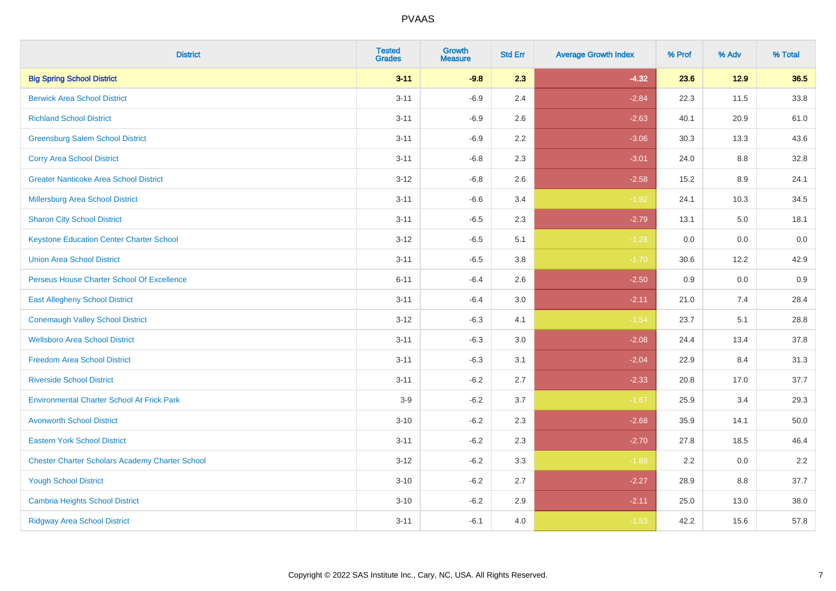| <b>District</b>                                        | <b>Tested</b><br><b>Grades</b> | Growth<br><b>Measure</b> | <b>Std Err</b> | <b>Average Growth Index</b> | % Prof | % Adv | % Total |
|--------------------------------------------------------|--------------------------------|--------------------------|----------------|-----------------------------|--------|-------|---------|
| <b>Big Spring School District</b>                      | $3 - 11$                       | $-9.8$                   | 2.3            | $-4.32$                     | 23.6   | 12.9  | 36.5    |
| <b>Berwick Area School District</b>                    | $3 - 11$                       | $-6.9$                   | 2.4            | $-2.84$                     | 22.3   | 11.5  | 33.8    |
| <b>Richland School District</b>                        | $3 - 11$                       | $-6.9$                   | 2.6            | $-2.63$                     | 40.1   | 20.9  | 61.0    |
| <b>Greensburg Salem School District</b>                | $3 - 11$                       | $-6.9$                   | $2.2\,$        | $-3.06$                     | 30.3   | 13.3  | 43.6    |
| <b>Corry Area School District</b>                      | $3 - 11$                       | $-6.8$                   | 2.3            | $-3.01$                     | 24.0   | 8.8   | 32.8    |
| <b>Greater Nanticoke Area School District</b>          | $3 - 12$                       | $-6.8$                   | 2.6            | $-2.58$                     | 15.2   | 8.9   | 24.1    |
| <b>Millersburg Area School District</b>                | $3 - 11$                       | $-6.6$                   | 3.4            | $-1.92$                     | 24.1   | 10.3  | 34.5    |
| <b>Sharon City School District</b>                     | $3 - 11$                       | $-6.5$                   | 2.3            | $-2.79$                     | 13.1   | 5.0   | 18.1    |
| <b>Keystone Education Center Charter School</b>        | $3 - 12$                       | $-6.5$                   | 5.1            | $-1.28$                     | 0.0    | 0.0   | 0.0     |
| <b>Union Area School District</b>                      | $3 - 11$                       | $-6.5$                   | 3.8            | $-1.70$                     | 30.6   | 12.2  | 42.9    |
| Perseus House Charter School Of Excellence             | $6 - 11$                       | $-6.4$                   | 2.6            | $-2.50$                     | 0.9    | 0.0   | 0.9     |
| <b>East Allegheny School District</b>                  | $3 - 11$                       | $-6.4$                   | 3.0            | $-2.11$                     | 21.0   | 7.4   | 28.4    |
| <b>Conemaugh Valley School District</b>                | $3 - 12$                       | $-6.3$                   | 4.1            | $-1.54$                     | 23.7   | 5.1   | 28.8    |
| <b>Wellsboro Area School District</b>                  | $3 - 11$                       | $-6.3$                   | 3.0            | $-2.08$                     | 24.4   | 13.4  | 37.8    |
| <b>Freedom Area School District</b>                    | $3 - 11$                       | $-6.3$                   | 3.1            | $-2.04$                     | 22.9   | 8.4   | 31.3    |
| <b>Riverside School District</b>                       | $3 - 11$                       | $-6.2$                   | 2.7            | $-2.33$                     | 20.8   | 17.0  | 37.7    |
| <b>Environmental Charter School At Frick Park</b>      | $3-9$                          | $-6.2$                   | 3.7            | $-1.67$                     | 25.9   | 3.4   | 29.3    |
| <b>Avonworth School District</b>                       | $3 - 10$                       | $-6.2$                   | 2.3            | $-2.68$                     | 35.9   | 14.1  | 50.0    |
| <b>Eastern York School District</b>                    | $3 - 11$                       | $-6.2$                   | 2.3            | $-2.70$                     | 27.8   | 18.5  | 46.4    |
| <b>Chester Charter Scholars Academy Charter School</b> | $3 - 12$                       | $-6.2$                   | 3.3            | $-1.88$                     | 2.2    | 0.0   | 2.2     |
| <b>Yough School District</b>                           | $3 - 10$                       | $-6.2$                   | 2.7            | $-2.27$                     | 28.9   | 8.8   | 37.7    |
| <b>Cambria Heights School District</b>                 | $3 - 10$                       | $-6.2$                   | 2.9            | $-2.11$                     | 25.0   | 13.0  | 38.0    |
| <b>Ridgway Area School District</b>                    | $3 - 11$                       | $-6.1$                   | 4.0            | $-1.53$                     | 42.2   | 15.6  | 57.8    |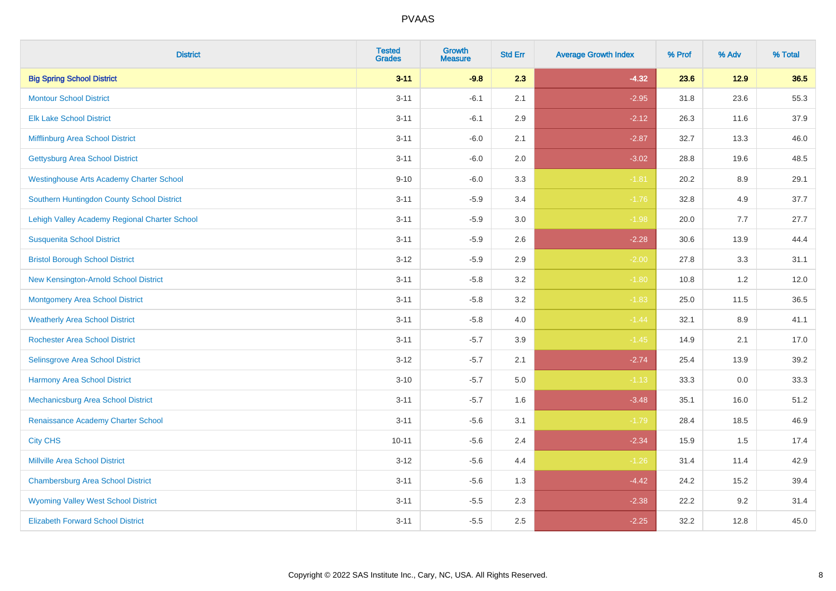| <b>District</b>                                 | <b>Tested</b><br><b>Grades</b> | <b>Growth</b><br><b>Measure</b> | <b>Std Err</b> | <b>Average Growth Index</b> | % Prof | % Adv | % Total |
|-------------------------------------------------|--------------------------------|---------------------------------|----------------|-----------------------------|--------|-------|---------|
| <b>Big Spring School District</b>               | $3 - 11$                       | $-9.8$                          | 2.3            | $-4.32$                     | 23.6   | 12.9  | 36.5    |
| <b>Montour School District</b>                  | $3 - 11$                       | $-6.1$                          | 2.1            | $-2.95$                     | 31.8   | 23.6  | 55.3    |
| <b>Elk Lake School District</b>                 | $3 - 11$                       | $-6.1$                          | 2.9            | $-2.12$                     | 26.3   | 11.6  | 37.9    |
| Mifflinburg Area School District                | $3 - 11$                       | $-6.0$                          | 2.1            | $-2.87$                     | 32.7   | 13.3  | 46.0    |
| <b>Gettysburg Area School District</b>          | $3 - 11$                       | $-6.0$                          | 2.0            | $-3.02$                     | 28.8   | 19.6  | 48.5    |
| <b>Westinghouse Arts Academy Charter School</b> | $9 - 10$                       | $-6.0$                          | 3.3            | $-1.81$                     | 20.2   | 8.9   | 29.1    |
| Southern Huntingdon County School District      | $3 - 11$                       | $-5.9$                          | 3.4            | $-1.76$                     | 32.8   | 4.9   | 37.7    |
| Lehigh Valley Academy Regional Charter School   | $3 - 11$                       | $-5.9$                          | 3.0            | $-1.98$                     | 20.0   | 7.7   | 27.7    |
| <b>Susquenita School District</b>               | $3 - 11$                       | $-5.9$                          | 2.6            | $-2.28$                     | 30.6   | 13.9  | 44.4    |
| <b>Bristol Borough School District</b>          | $3 - 12$                       | $-5.9$                          | 2.9            | $-2.00$                     | 27.8   | 3.3   | 31.1    |
| New Kensington-Arnold School District           | $3 - 11$                       | $-5.8$                          | 3.2            | $-1.80$                     | 10.8   | 1.2   | 12.0    |
| <b>Montgomery Area School District</b>          | $3 - 11$                       | $-5.8$                          | 3.2            | $-1.83$                     | 25.0   | 11.5  | 36.5    |
| <b>Weatherly Area School District</b>           | $3 - 11$                       | $-5.8$                          | 4.0            | $-1.44$                     | 32.1   | 8.9   | 41.1    |
| <b>Rochester Area School District</b>           | $3 - 11$                       | $-5.7$                          | 3.9            | $-1.45$                     | 14.9   | 2.1   | 17.0    |
| Selinsgrove Area School District                | $3 - 12$                       | $-5.7$                          | 2.1            | $-2.74$                     | 25.4   | 13.9  | 39.2    |
| <b>Harmony Area School District</b>             | $3 - 10$                       | $-5.7$                          | 5.0            | $-1.13$                     | 33.3   | 0.0   | 33.3    |
| Mechanicsburg Area School District              | $3 - 11$                       | $-5.7$                          | 1.6            | $-3.48$                     | 35.1   | 16.0  | 51.2    |
| Renaissance Academy Charter School              | $3 - 11$                       | $-5.6$                          | 3.1            | $-1.79$                     | 28.4   | 18.5  | 46.9    |
| <b>City CHS</b>                                 | $10 - 11$                      | $-5.6$                          | 2.4            | $-2.34$                     | 15.9   | 1.5   | 17.4    |
| <b>Millville Area School District</b>           | $3 - 12$                       | $-5.6$                          | 4.4            | $-1.26$                     | 31.4   | 11.4  | 42.9    |
| <b>Chambersburg Area School District</b>        | $3 - 11$                       | $-5.6$                          | 1.3            | $-4.42$                     | 24.2   | 15.2  | 39.4    |
| <b>Wyoming Valley West School District</b>      | $3 - 11$                       | $-5.5$                          | 2.3            | $-2.38$                     | 22.2   | 9.2   | 31.4    |
| <b>Elizabeth Forward School District</b>        | $3 - 11$                       | $-5.5$                          | 2.5            | $-2.25$                     | 32.2   | 12.8  | 45.0    |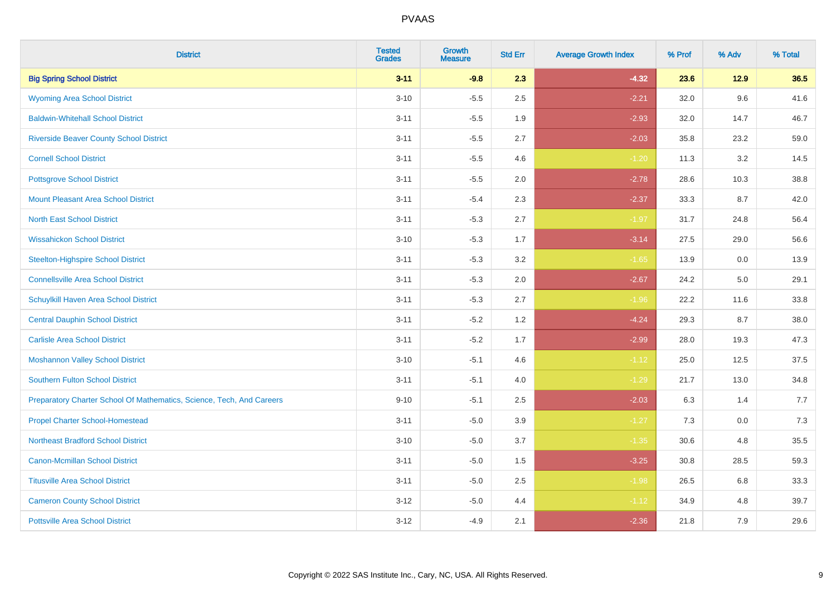| <b>District</b>                                                       | <b>Tested</b><br><b>Grades</b> | Growth<br><b>Measure</b> | <b>Std Err</b> | <b>Average Growth Index</b> | % Prof | % Adv  | % Total |
|-----------------------------------------------------------------------|--------------------------------|--------------------------|----------------|-----------------------------|--------|--------|---------|
| <b>Big Spring School District</b>                                     | $3 - 11$                       | $-9.8$                   | 2.3            | $-4.32$                     | 23.6   | $12.9$ | 36.5    |
| <b>Wyoming Area School District</b>                                   | $3 - 10$                       | $-5.5$                   | 2.5            | $-2.21$                     | 32.0   | 9.6    | 41.6    |
| <b>Baldwin-Whitehall School District</b>                              | $3 - 11$                       | $-5.5$                   | 1.9            | $-2.93$                     | 32.0   | 14.7   | 46.7    |
| <b>Riverside Beaver County School District</b>                        | $3 - 11$                       | $-5.5$                   | 2.7            | $-2.03$                     | 35.8   | 23.2   | 59.0    |
| <b>Cornell School District</b>                                        | $3 - 11$                       | $-5.5$                   | 4.6            | $-1.20$                     | 11.3   | 3.2    | 14.5    |
| <b>Pottsgrove School District</b>                                     | $3 - 11$                       | $-5.5$                   | 2.0            | $-2.78$                     | 28.6   | 10.3   | 38.8    |
| <b>Mount Pleasant Area School District</b>                            | $3 - 11$                       | $-5.4$                   | 2.3            | $-2.37$                     | 33.3   | 8.7    | 42.0    |
| <b>North East School District</b>                                     | $3 - 11$                       | $-5.3$                   | 2.7            | $-1.97$                     | 31.7   | 24.8   | 56.4    |
| <b>Wissahickon School District</b>                                    | $3 - 10$                       | $-5.3$                   | 1.7            | $-3.14$                     | 27.5   | 29.0   | 56.6    |
| <b>Steelton-Highspire School District</b>                             | $3 - 11$                       | $-5.3$                   | 3.2            | $-1.65$                     | 13.9   | 0.0    | 13.9    |
| <b>Connellsville Area School District</b>                             | $3 - 11$                       | $-5.3$                   | 2.0            | $-2.67$                     | 24.2   | 5.0    | 29.1    |
| Schuylkill Haven Area School District                                 | $3 - 11$                       | $-5.3$                   | 2.7            | $-1.96$                     | 22.2   | 11.6   | 33.8    |
| <b>Central Dauphin School District</b>                                | $3 - 11$                       | $-5.2$                   | 1.2            | $-4.24$                     | 29.3   | 8.7    | 38.0    |
| <b>Carlisle Area School District</b>                                  | $3 - 11$                       | $-5.2$                   | 1.7            | $-2.99$                     | 28.0   | 19.3   | 47.3    |
| <b>Moshannon Valley School District</b>                               | $3 - 10$                       | $-5.1$                   | 4.6            | $-1.12$                     | 25.0   | 12.5   | 37.5    |
| <b>Southern Fulton School District</b>                                | $3 - 11$                       | $-5.1$                   | 4.0            | $-1.29$                     | 21.7   | 13.0   | 34.8    |
| Preparatory Charter School Of Mathematics, Science, Tech, And Careers | $9 - 10$                       | $-5.1$                   | 2.5            | $-2.03$                     | 6.3    | 1.4    | 7.7     |
| <b>Propel Charter School-Homestead</b>                                | $3 - 11$                       | $-5.0$                   | 3.9            | $-1.27$                     | 7.3    | 0.0    | 7.3     |
| <b>Northeast Bradford School District</b>                             | $3 - 10$                       | $-5.0$                   | 3.7            | $-1.35$                     | 30.6   | 4.8    | 35.5    |
| <b>Canon-Mcmillan School District</b>                                 | $3 - 11$                       | $-5.0$                   | 1.5            | $-3.25$                     | 30.8   | 28.5   | 59.3    |
| <b>Titusville Area School District</b>                                | $3 - 11$                       | $-5.0$                   | 2.5            | $-1.98$                     | 26.5   | 6.8    | 33.3    |
| <b>Cameron County School District</b>                                 | $3 - 12$                       | $-5.0$                   | 4.4            | $-1.12$                     | 34.9   | 4.8    | 39.7    |
| <b>Pottsville Area School District</b>                                | $3 - 12$                       | $-4.9$                   | 2.1            | $-2.36$                     | 21.8   | 7.9    | 29.6    |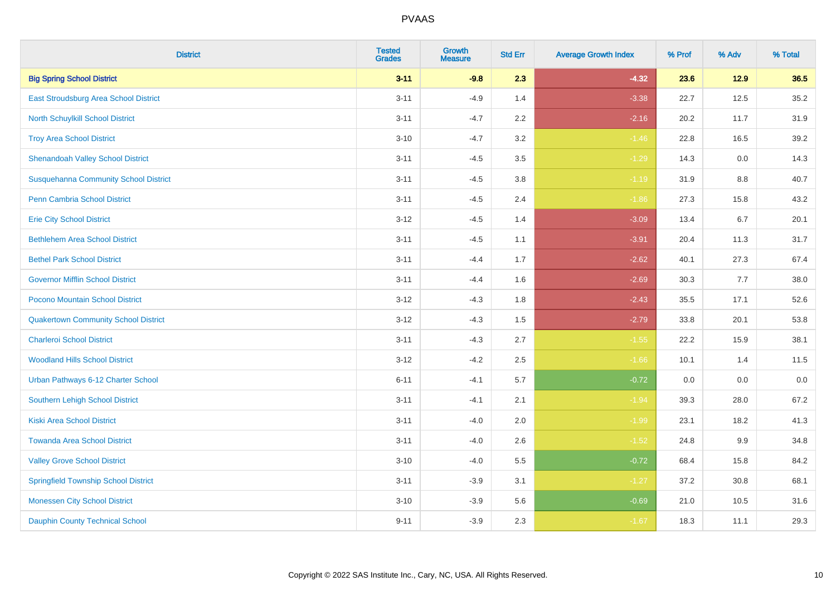| <b>District</b>                              | <b>Tested</b><br><b>Grades</b> | <b>Growth</b><br><b>Measure</b> | <b>Std Err</b> | <b>Average Growth Index</b> | % Prof | % Adv  | % Total |
|----------------------------------------------|--------------------------------|---------------------------------|----------------|-----------------------------|--------|--------|---------|
| <b>Big Spring School District</b>            | $3 - 11$                       | $-9.8$                          | 2.3            | $-4.32$                     | 23.6   | $12.9$ | 36.5    |
| East Stroudsburg Area School District        | $3 - 11$                       | $-4.9$                          | 1.4            | $-3.38$                     | 22.7   | 12.5   | 35.2    |
| North Schuylkill School District             | $3 - 11$                       | $-4.7$                          | 2.2            | $-2.16$                     | 20.2   | 11.7   | 31.9    |
| <b>Troy Area School District</b>             | $3 - 10$                       | $-4.7$                          | 3.2            | $-1.46$                     | 22.8   | 16.5   | 39.2    |
| <b>Shenandoah Valley School District</b>     | $3 - 11$                       | $-4.5$                          | 3.5            | $-1.29$                     | 14.3   | 0.0    | 14.3    |
| <b>Susquehanna Community School District</b> | $3 - 11$                       | $-4.5$                          | 3.8            | $-1.19$                     | 31.9   | 8.8    | 40.7    |
| Penn Cambria School District                 | $3 - 11$                       | $-4.5$                          | 2.4            | $-1.86$                     | 27.3   | 15.8   | 43.2    |
| <b>Erie City School District</b>             | $3 - 12$                       | $-4.5$                          | 1.4            | $-3.09$                     | 13.4   | 6.7    | 20.1    |
| <b>Bethlehem Area School District</b>        | $3 - 11$                       | $-4.5$                          | 1.1            | $-3.91$                     | 20.4   | 11.3   | 31.7    |
| <b>Bethel Park School District</b>           | $3 - 11$                       | $-4.4$                          | 1.7            | $-2.62$                     | 40.1   | 27.3   | 67.4    |
| <b>Governor Mifflin School District</b>      | $3 - 11$                       | $-4.4$                          | 1.6            | $-2.69$                     | 30.3   | 7.7    | 38.0    |
| Pocono Mountain School District              | $3 - 12$                       | $-4.3$                          | 1.8            | $-2.43$                     | 35.5   | 17.1   | 52.6    |
| <b>Quakertown Community School District</b>  | $3 - 12$                       | $-4.3$                          | $1.5$          | $-2.79$                     | 33.8   | 20.1   | 53.8    |
| <b>Charleroi School District</b>             | $3 - 11$                       | $-4.3$                          | 2.7            | $-1.55$                     | 22.2   | 15.9   | 38.1    |
| <b>Woodland Hills School District</b>        | $3 - 12$                       | $-4.2$                          | 2.5            | $-1.66$                     | 10.1   | 1.4    | 11.5    |
| Urban Pathways 6-12 Charter School           | $6 - 11$                       | $-4.1$                          | 5.7            | $-0.72$                     | 0.0    | 0.0    | 0.0     |
| Southern Lehigh School District              | $3 - 11$                       | $-4.1$                          | 2.1            | $-1.94$                     | 39.3   | 28.0   | 67.2    |
| <b>Kiski Area School District</b>            | $3 - 11$                       | $-4.0$                          | 2.0            | $-1.99$                     | 23.1   | 18.2   | 41.3    |
| <b>Towanda Area School District</b>          | $3 - 11$                       | $-4.0$                          | 2.6            | $-1.52$                     | 24.8   | 9.9    | 34.8    |
| <b>Valley Grove School District</b>          | $3 - 10$                       | $-4.0$                          | 5.5            | $-0.72$                     | 68.4   | 15.8   | 84.2    |
| <b>Springfield Township School District</b>  | $3 - 11$                       | $-3.9$                          | 3.1            | $-1.27$                     | 37.2   | 30.8   | 68.1    |
| <b>Monessen City School District</b>         | $3 - 10$                       | $-3.9$                          | 5.6            | $-0.69$                     | 21.0   | 10.5   | 31.6    |
| <b>Dauphin County Technical School</b>       | $9 - 11$                       | $-3.9$                          | 2.3            | $-1.67$                     | 18.3   | 11.1   | 29.3    |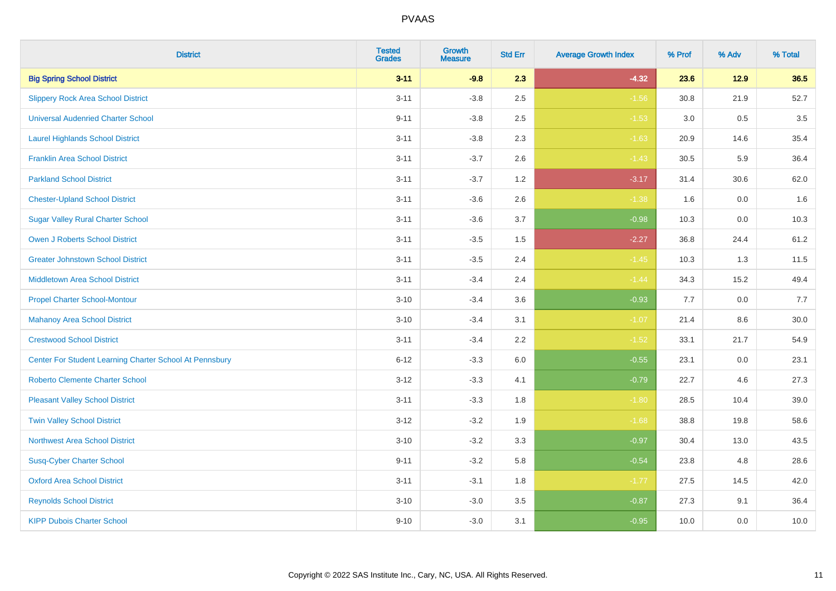| <b>District</b>                                         | <b>Tested</b><br><b>Grades</b> | <b>Growth</b><br><b>Measure</b> | <b>Std Err</b> | <b>Average Growth Index</b> | % Prof | % Adv | % Total |
|---------------------------------------------------------|--------------------------------|---------------------------------|----------------|-----------------------------|--------|-------|---------|
| <b>Big Spring School District</b>                       | $3 - 11$                       | $-9.8$                          | 2.3            | $-4.32$                     | 23.6   | 12.9  | 36.5    |
| <b>Slippery Rock Area School District</b>               | $3 - 11$                       | $-3.8$                          | 2.5            | $-1.56$                     | 30.8   | 21.9  | 52.7    |
| <b>Universal Audenried Charter School</b>               | $9 - 11$                       | $-3.8$                          | 2.5            | $-1.53$                     | 3.0    | 0.5   | 3.5     |
| <b>Laurel Highlands School District</b>                 | $3 - 11$                       | $-3.8$                          | 2.3            | $-1.63$                     | 20.9   | 14.6  | 35.4    |
| <b>Franklin Area School District</b>                    | $3 - 11$                       | $-3.7$                          | 2.6            | $-1.43$                     | 30.5   | 5.9   | 36.4    |
| <b>Parkland School District</b>                         | $3 - 11$                       | $-3.7$                          | 1.2            | $-3.17$                     | 31.4   | 30.6  | 62.0    |
| <b>Chester-Upland School District</b>                   | $3 - 11$                       | $-3.6$                          | 2.6            | $-1.38$                     | 1.6    | 0.0   | 1.6     |
| <b>Sugar Valley Rural Charter School</b>                | $3 - 11$                       | $-3.6$                          | 3.7            | $-0.98$                     | 10.3   | 0.0   | 10.3    |
| <b>Owen J Roberts School District</b>                   | $3 - 11$                       | $-3.5$                          | 1.5            | $-2.27$                     | 36.8   | 24.4  | 61.2    |
| <b>Greater Johnstown School District</b>                | $3 - 11$                       | $-3.5$                          | 2.4            | $-1.45$                     | 10.3   | 1.3   | 11.5    |
| <b>Middletown Area School District</b>                  | $3 - 11$                       | $-3.4$                          | 2.4            | $-1.44$                     | 34.3   | 15.2  | 49.4    |
| <b>Propel Charter School-Montour</b>                    | $3 - 10$                       | $-3.4$                          | 3.6            | $-0.93$                     | 7.7    | 0.0   | 7.7     |
| <b>Mahanoy Area School District</b>                     | $3 - 10$                       | $-3.4$                          | 3.1            | $-1.07$                     | 21.4   | 8.6   | 30.0    |
| <b>Crestwood School District</b>                        | $3 - 11$                       | $-3.4$                          | 2.2            | $-1.52$                     | 33.1   | 21.7  | 54.9    |
| Center For Student Learning Charter School At Pennsbury | $6 - 12$                       | $-3.3$                          | 6.0            | $-0.55$                     | 23.1   | 0.0   | 23.1    |
| <b>Roberto Clemente Charter School</b>                  | $3 - 12$                       | $-3.3$                          | 4.1            | $-0.79$                     | 22.7   | 4.6   | 27.3    |
| <b>Pleasant Valley School District</b>                  | $3 - 11$                       | $-3.3$                          | 1.8            | $-1.80$                     | 28.5   | 10.4  | 39.0    |
| <b>Twin Valley School District</b>                      | $3 - 12$                       | $-3.2$                          | 1.9            | $-1.68$                     | 38.8   | 19.8  | 58.6    |
| <b>Northwest Area School District</b>                   | $3 - 10$                       | $-3.2$                          | 3.3            | $-0.97$                     | 30.4   | 13.0  | 43.5    |
| <b>Susq-Cyber Charter School</b>                        | $9 - 11$                       | $-3.2$                          | 5.8            | $-0.54$                     | 23.8   | 4.8   | 28.6    |
| <b>Oxford Area School District</b>                      | $3 - 11$                       | $-3.1$                          | 1.8            | $-1.77$                     | 27.5   | 14.5  | 42.0    |
| <b>Reynolds School District</b>                         | $3 - 10$                       | $-3.0$                          | 3.5            | $-0.87$                     | 27.3   | 9.1   | 36.4    |
| <b>KIPP Dubois Charter School</b>                       | $9 - 10$                       | $-3.0$                          | 3.1            | $-0.95$                     | 10.0   | 0.0   | 10.0    |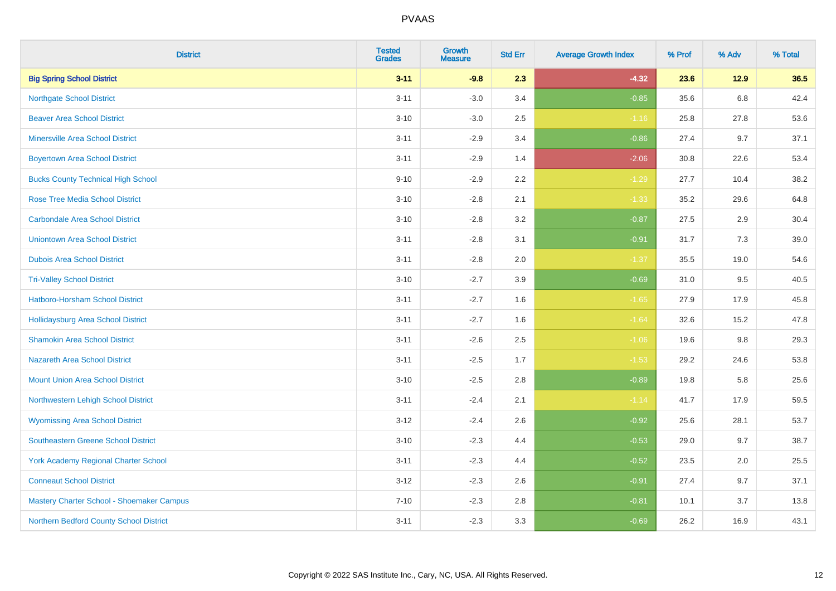| <b>District</b>                             | <b>Tested</b><br><b>Grades</b> | <b>Growth</b><br><b>Measure</b> | <b>Std Err</b> | <b>Average Growth Index</b> | % Prof | % Adv  | % Total |
|---------------------------------------------|--------------------------------|---------------------------------|----------------|-----------------------------|--------|--------|---------|
| <b>Big Spring School District</b>           | $3 - 11$                       | $-9.8$                          | 2.3            | $-4.32$                     | 23.6   | $12.9$ | 36.5    |
| <b>Northgate School District</b>            | $3 - 11$                       | $-3.0$                          | 3.4            | $-0.85$                     | 35.6   | 6.8    | 42.4    |
| <b>Beaver Area School District</b>          | $3 - 10$                       | $-3.0$                          | 2.5            | $-1.16$                     | 25.8   | 27.8   | 53.6    |
| <b>Minersville Area School District</b>     | $3 - 11$                       | $-2.9$                          | 3.4            | $-0.86$                     | 27.4   | 9.7    | 37.1    |
| <b>Boyertown Area School District</b>       | $3 - 11$                       | $-2.9$                          | 1.4            | $-2.06$                     | 30.8   | 22.6   | 53.4    |
| <b>Bucks County Technical High School</b>   | $9 - 10$                       | $-2.9$                          | 2.2            | $-1.29$                     | 27.7   | 10.4   | 38.2    |
| <b>Rose Tree Media School District</b>      | $3 - 10$                       | $-2.8$                          | 2.1            | $-1.33$                     | 35.2   | 29.6   | 64.8    |
| <b>Carbondale Area School District</b>      | $3 - 10$                       | $-2.8$                          | 3.2            | $-0.87$                     | 27.5   | 2.9    | 30.4    |
| <b>Uniontown Area School District</b>       | $3 - 11$                       | $-2.8$                          | 3.1            | $-0.91$                     | 31.7   | 7.3    | 39.0    |
| <b>Dubois Area School District</b>          | $3 - 11$                       | $-2.8$                          | 2.0            | $-1.37$                     | 35.5   | 19.0   | 54.6    |
| <b>Tri-Valley School District</b>           | $3 - 10$                       | $-2.7$                          | 3.9            | $-0.69$                     | 31.0   | 9.5    | 40.5    |
| Hatboro-Horsham School District             | $3 - 11$                       | $-2.7$                          | 1.6            | $-1.65$                     | 27.9   | 17.9   | 45.8    |
| Hollidaysburg Area School District          | $3 - 11$                       | $-2.7$                          | 1.6            | $-1.64$                     | 32.6   | 15.2   | 47.8    |
| <b>Shamokin Area School District</b>        | $3 - 11$                       | $-2.6$                          | 2.5            | $-1.06$                     | 19.6   | 9.8    | 29.3    |
| <b>Nazareth Area School District</b>        | $3 - 11$                       | $-2.5$                          | 1.7            | $-1.53$                     | 29.2   | 24.6   | 53.8    |
| <b>Mount Union Area School District</b>     | $3 - 10$                       | $-2.5$                          | 2.8            | $-0.89$                     | 19.8   | 5.8    | 25.6    |
| Northwestern Lehigh School District         | $3 - 11$                       | $-2.4$                          | 2.1            | $-1.14$                     | 41.7   | 17.9   | 59.5    |
| <b>Wyomissing Area School District</b>      | $3 - 12$                       | $-2.4$                          | 2.6            | $-0.92$                     | 25.6   | 28.1   | 53.7    |
| <b>Southeastern Greene School District</b>  | $3 - 10$                       | $-2.3$                          | 4.4            | $-0.53$                     | 29.0   | 9.7    | 38.7    |
| <b>York Academy Regional Charter School</b> | $3 - 11$                       | $-2.3$                          | 4.4            | $-0.52$                     | 23.5   | 2.0    | 25.5    |
| <b>Conneaut School District</b>             | $3 - 12$                       | $-2.3$                          | 2.6            | $-0.91$                     | 27.4   | 9.7    | 37.1    |
| Mastery Charter School - Shoemaker Campus   | $7 - 10$                       | $-2.3$                          | 2.8            | $-0.81$                     | 10.1   | 3.7    | 13.8    |
| Northern Bedford County School District     | $3 - 11$                       | $-2.3$                          | 3.3            | $-0.69$                     | 26.2   | 16.9   | 43.1    |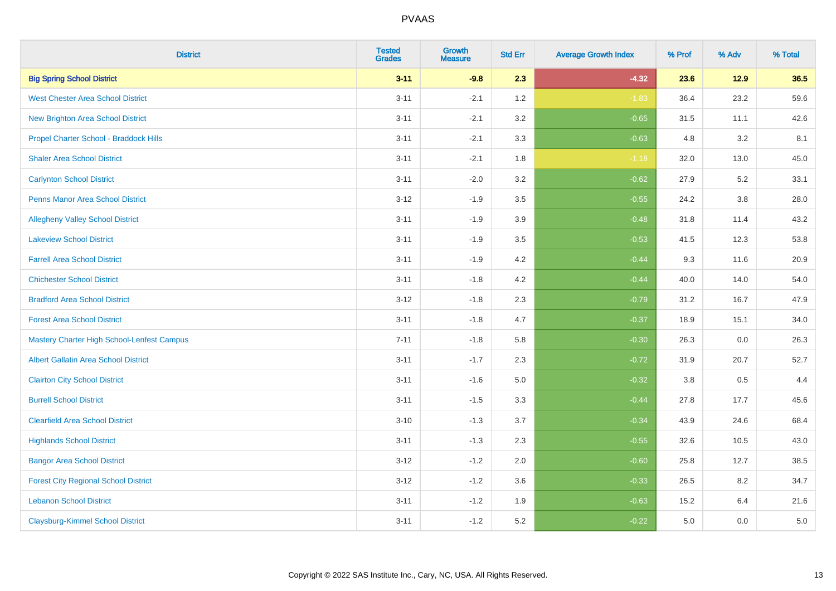| <b>District</b>                                   | <b>Tested</b><br><b>Grades</b> | <b>Growth</b><br><b>Measure</b> | <b>Std Err</b> | <b>Average Growth Index</b> | % Prof  | % Adv | % Total |
|---------------------------------------------------|--------------------------------|---------------------------------|----------------|-----------------------------|---------|-------|---------|
| <b>Big Spring School District</b>                 | $3 - 11$                       | $-9.8$                          | 2.3            | $-4.32$                     | 23.6    | 12.9  | 36.5    |
| <b>West Chester Area School District</b>          | $3 - 11$                       | $-2.1$                          | 1.2            | $-1.83$                     | 36.4    | 23.2  | 59.6    |
| <b>New Brighton Area School District</b>          | $3 - 11$                       | $-2.1$                          | 3.2            | $-0.65$                     | 31.5    | 11.1  | 42.6    |
| Propel Charter School - Braddock Hills            | $3 - 11$                       | $-2.1$                          | 3.3            | $-0.63$                     | 4.8     | 3.2   | 8.1     |
| <b>Shaler Area School District</b>                | $3 - 11$                       | $-2.1$                          | 1.8            | $-1.18$                     | 32.0    | 13.0  | 45.0    |
| <b>Carlynton School District</b>                  | $3 - 11$                       | $-2.0$                          | 3.2            | $-0.62$                     | 27.9    | 5.2   | 33.1    |
| <b>Penns Manor Area School District</b>           | $3 - 12$                       | $-1.9$                          | 3.5            | $-0.55$                     | 24.2    | 3.8   | 28.0    |
| <b>Allegheny Valley School District</b>           | $3 - 11$                       | $-1.9$                          | 3.9            | $-0.48$                     | 31.8    | 11.4  | 43.2    |
| <b>Lakeview School District</b>                   | $3 - 11$                       | $-1.9$                          | 3.5            | $-0.53$                     | 41.5    | 12.3  | 53.8    |
| <b>Farrell Area School District</b>               | $3 - 11$                       | $-1.9$                          | 4.2            | $-0.44$                     | 9.3     | 11.6  | 20.9    |
| <b>Chichester School District</b>                 | $3 - 11$                       | $-1.8$                          | 4.2            | $-0.44$                     | 40.0    | 14.0  | 54.0    |
| <b>Bradford Area School District</b>              | $3 - 12$                       | $-1.8$                          | 2.3            | $-0.79$                     | 31.2    | 16.7  | 47.9    |
| <b>Forest Area School District</b>                | $3 - 11$                       | $-1.8$                          | 4.7            | $-0.37$                     | 18.9    | 15.1  | 34.0    |
| <b>Mastery Charter High School-Lenfest Campus</b> | $7 - 11$                       | $-1.8$                          | 5.8            | $-0.30$                     | 26.3    | 0.0   | 26.3    |
| <b>Albert Gallatin Area School District</b>       | $3 - 11$                       | $-1.7$                          | 2.3            | $-0.72$                     | 31.9    | 20.7  | 52.7    |
| <b>Clairton City School District</b>              | $3 - 11$                       | $-1.6$                          | 5.0            | $-0.32$                     | $3.8\,$ | 0.5   | 4.4     |
| <b>Burrell School District</b>                    | $3 - 11$                       | $-1.5$                          | 3.3            | $-0.44$                     | 27.8    | 17.7  | 45.6    |
| <b>Clearfield Area School District</b>            | $3 - 10$                       | $-1.3$                          | 3.7            | $-0.34$                     | 43.9    | 24.6  | 68.4    |
| <b>Highlands School District</b>                  | $3 - 11$                       | $-1.3$                          | 2.3            | $-0.55$                     | 32.6    | 10.5  | 43.0    |
| <b>Bangor Area School District</b>                | $3 - 12$                       | $-1.2$                          | 2.0            | $-0.60$                     | 25.8    | 12.7  | 38.5    |
| <b>Forest City Regional School District</b>       | $3 - 12$                       | $-1.2$                          | 3.6            | $-0.33$                     | 26.5    | 8.2   | 34.7    |
| <b>Lebanon School District</b>                    | $3 - 11$                       | $-1.2$                          | 1.9            | $-0.63$                     | 15.2    | 6.4   | 21.6    |
| <b>Claysburg-Kimmel School District</b>           | $3 - 11$                       | $-1.2$                          | 5.2            | $-0.22$                     | 5.0     | 0.0   | $5.0$   |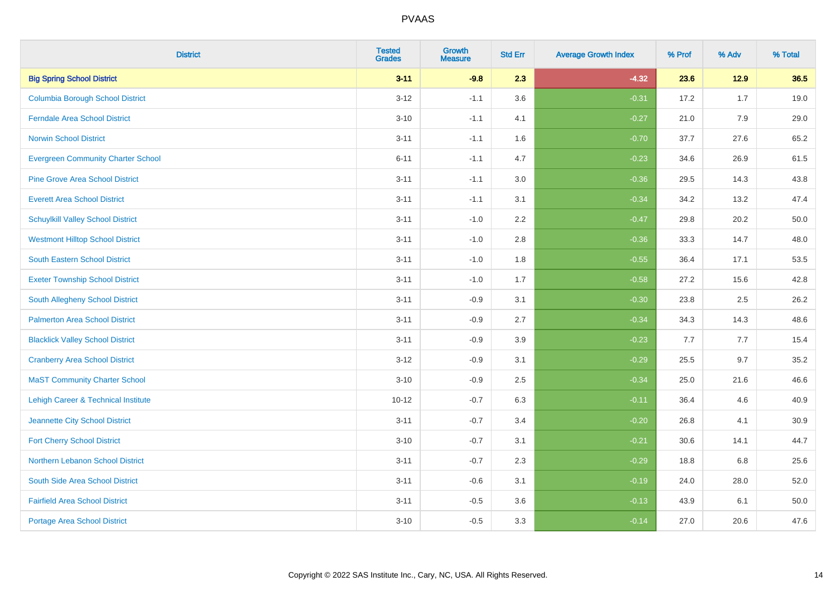| <b>District</b>                                | <b>Tested</b><br><b>Grades</b> | Growth<br><b>Measure</b> | <b>Std Err</b> | <b>Average Growth Index</b> | % Prof | % Adv  | % Total |
|------------------------------------------------|--------------------------------|--------------------------|----------------|-----------------------------|--------|--------|---------|
| <b>Big Spring School District</b>              | $3 - 11$                       | $-9.8$                   | 2.3            | $-4.32$                     | 23.6   | $12.9$ | 36.5    |
| <b>Columbia Borough School District</b>        | $3 - 12$                       | $-1.1$                   | 3.6            | $-0.31$                     | 17.2   | 1.7    | 19.0    |
| <b>Ferndale Area School District</b>           | $3 - 10$                       | $-1.1$                   | 4.1            | $-0.27$                     | 21.0   | 7.9    | 29.0    |
| <b>Norwin School District</b>                  | $3 - 11$                       | $-1.1$                   | 1.6            | $-0.70$                     | 37.7   | 27.6   | 65.2    |
| <b>Evergreen Community Charter School</b>      | $6 - 11$                       | $-1.1$                   | 4.7            | $-0.23$                     | 34.6   | 26.9   | 61.5    |
| <b>Pine Grove Area School District</b>         | $3 - 11$                       | $-1.1$                   | 3.0            | $-0.36$                     | 29.5   | 14.3   | 43.8    |
| <b>Everett Area School District</b>            | $3 - 11$                       | $-1.1$                   | 3.1            | $-0.34$                     | 34.2   | 13.2   | 47.4    |
| <b>Schuylkill Valley School District</b>       | $3 - 11$                       | $-1.0$                   | 2.2            | $-0.47$                     | 29.8   | 20.2   | 50.0    |
| <b>Westmont Hilltop School District</b>        | $3 - 11$                       | $-1.0$                   | 2.8            | $-0.36$                     | 33.3   | 14.7   | 48.0    |
| <b>South Eastern School District</b>           | $3 - 11$                       | $-1.0$                   | 1.8            | $-0.55$                     | 36.4   | 17.1   | 53.5    |
| <b>Exeter Township School District</b>         | $3 - 11$                       | $-1.0$                   | 1.7            | $-0.58$                     | 27.2   | 15.6   | 42.8    |
| South Allegheny School District                | $3 - 11$                       | $-0.9$                   | 3.1            | $-0.30$                     | 23.8   | 2.5    | 26.2    |
| <b>Palmerton Area School District</b>          | $3 - 11$                       | $-0.9$                   | 2.7            | $-0.34$                     | 34.3   | 14.3   | 48.6    |
| <b>Blacklick Valley School District</b>        | $3 - 11$                       | $-0.9$                   | 3.9            | $-0.23$                     | 7.7    | 7.7    | 15.4    |
| <b>Cranberry Area School District</b>          | $3 - 12$                       | $-0.9$                   | 3.1            | $-0.29$                     | 25.5   | 9.7    | 35.2    |
| <b>MaST Community Charter School</b>           | $3 - 10$                       | $-0.9$                   | 2.5            | $-0.34$                     | 25.0   | 21.6   | 46.6    |
| <b>Lehigh Career &amp; Technical Institute</b> | $10 - 12$                      | $-0.7$                   | 6.3            | $-0.11$                     | 36.4   | 4.6    | 40.9    |
| Jeannette City School District                 | $3 - 11$                       | $-0.7$                   | 3.4            | $-0.20$                     | 26.8   | 4.1    | 30.9    |
| <b>Fort Cherry School District</b>             | $3 - 10$                       | $-0.7$                   | 3.1            | $-0.21$                     | 30.6   | 14.1   | 44.7    |
| Northern Lebanon School District               | $3 - 11$                       | $-0.7$                   | 2.3            | $-0.29$                     | 18.8   | 6.8    | 25.6    |
| South Side Area School District                | $3 - 11$                       | $-0.6$                   | 3.1            | $-0.19$                     | 24.0   | 28.0   | 52.0    |
| <b>Fairfield Area School District</b>          | $3 - 11$                       | $-0.5$                   | 3.6            | $-0.13$                     | 43.9   | 6.1    | 50.0    |
| <b>Portage Area School District</b>            | $3 - 10$                       | $-0.5$                   | 3.3            | $-0.14$                     | 27.0   | 20.6   | 47.6    |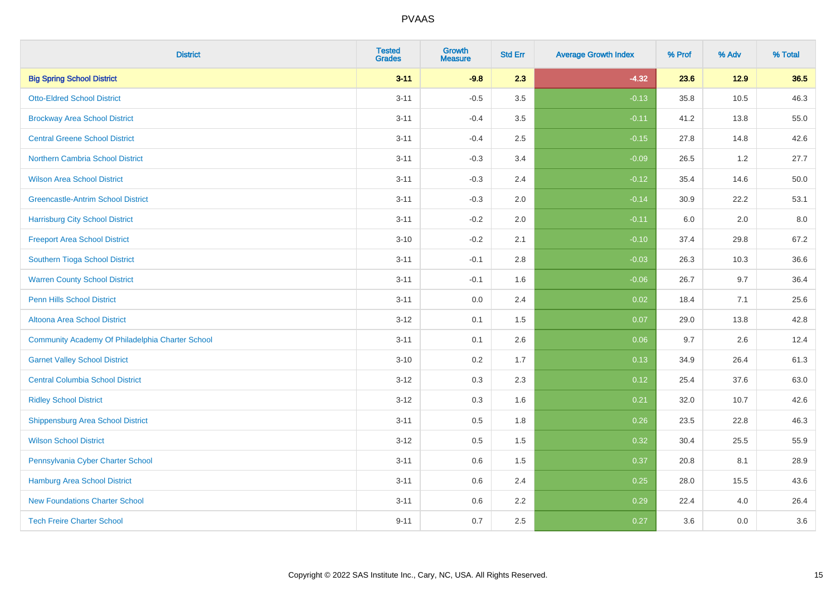| <b>District</b>                                  | <b>Tested</b><br><b>Grades</b> | <b>Growth</b><br><b>Measure</b> | <b>Std Err</b> | <b>Average Growth Index</b> | % Prof | % Adv  | % Total |
|--------------------------------------------------|--------------------------------|---------------------------------|----------------|-----------------------------|--------|--------|---------|
| <b>Big Spring School District</b>                | $3 - 11$                       | $-9.8$                          | 2.3            | $-4.32$                     | 23.6   | $12.9$ | 36.5    |
| <b>Otto-Eldred School District</b>               | $3 - 11$                       | $-0.5$                          | 3.5            | $-0.13$                     | 35.8   | 10.5   | 46.3    |
| <b>Brockway Area School District</b>             | $3 - 11$                       | $-0.4$                          | 3.5            | $-0.11$                     | 41.2   | 13.8   | 55.0    |
| <b>Central Greene School District</b>            | $3 - 11$                       | $-0.4$                          | 2.5            | $-0.15$                     | 27.8   | 14.8   | 42.6    |
| <b>Northern Cambria School District</b>          | $3 - 11$                       | $-0.3$                          | 3.4            | $-0.09$                     | 26.5   | 1.2    | 27.7    |
| <b>Wilson Area School District</b>               | $3 - 11$                       | $-0.3$                          | 2.4            | $-0.12$                     | 35.4   | 14.6   | 50.0    |
| <b>Greencastle-Antrim School District</b>        | $3 - 11$                       | $-0.3$                          | 2.0            | $-0.14$                     | 30.9   | 22.2   | 53.1    |
| <b>Harrisburg City School District</b>           | $3 - 11$                       | $-0.2$                          | 2.0            | $-0.11$                     | 6.0    | 2.0    | 8.0     |
| <b>Freeport Area School District</b>             | $3 - 10$                       | $-0.2$                          | 2.1            | $-0.10$                     | 37.4   | 29.8   | 67.2    |
| Southern Tioga School District                   | $3 - 11$                       | $-0.1$                          | 2.8            | $-0.03$                     | 26.3   | 10.3   | 36.6    |
| <b>Warren County School District</b>             | $3 - 11$                       | $-0.1$                          | 1.6            | $-0.06$                     | 26.7   | 9.7    | 36.4    |
| <b>Penn Hills School District</b>                | $3 - 11$                       | 0.0                             | 2.4            | 0.02                        | 18.4   | 7.1    | 25.6    |
| Altoona Area School District                     | $3 - 12$                       | 0.1                             | 1.5            | 0.07                        | 29.0   | 13.8   | 42.8    |
| Community Academy Of Philadelphia Charter School | $3 - 11$                       | 0.1                             | 2.6            | 0.06                        | 9.7    | 2.6    | 12.4    |
| <b>Garnet Valley School District</b>             | $3 - 10$                       | 0.2                             | 1.7            | 0.13                        | 34.9   | 26.4   | 61.3    |
| <b>Central Columbia School District</b>          | $3 - 12$                       | 0.3                             | 2.3            | 0.12                        | 25.4   | 37.6   | 63.0    |
| <b>Ridley School District</b>                    | $3 - 12$                       | 0.3                             | 1.6            | 0.21                        | 32.0   | 10.7   | 42.6    |
| <b>Shippensburg Area School District</b>         | $3 - 11$                       | 0.5                             | 1.8            | 0.26                        | 23.5   | 22.8   | 46.3    |
| <b>Wilson School District</b>                    | $3 - 12$                       | 0.5                             | 1.5            | 0.32                        | 30.4   | 25.5   | 55.9    |
| Pennsylvania Cyber Charter School                | $3 - 11$                       | 0.6                             | 1.5            | 0.37                        | 20.8   | 8.1    | 28.9    |
| <b>Hamburg Area School District</b>              | $3 - 11$                       | 0.6                             | 2.4            | 0.25                        | 28.0   | 15.5   | 43.6    |
| <b>New Foundations Charter School</b>            | $3 - 11$                       | 0.6                             | 2.2            | 0.29                        | 22.4   | 4.0    | 26.4    |
| <b>Tech Freire Charter School</b>                | $9 - 11$                       | 0.7                             | 2.5            | 0.27                        | 3.6    | 0.0    | 3.6     |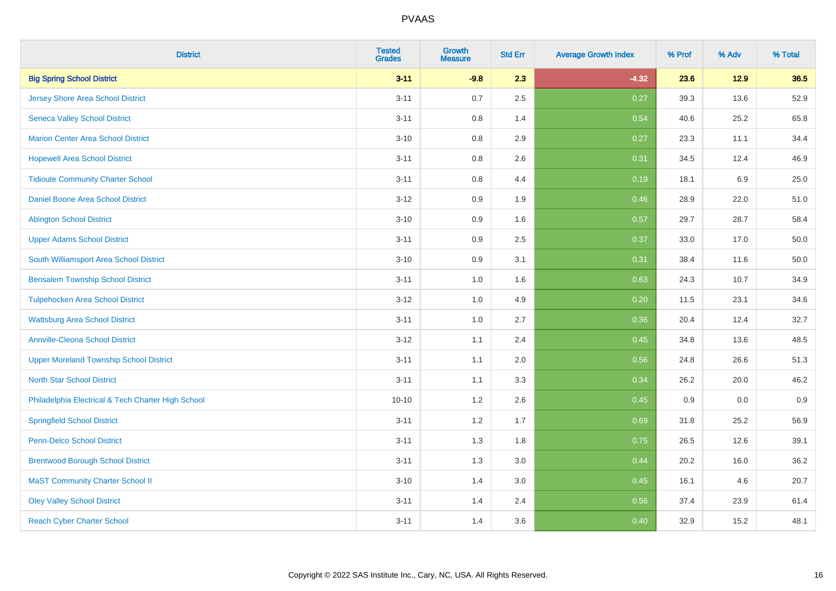| <b>District</b>                                    | <b>Tested</b><br><b>Grades</b> | <b>Growth</b><br><b>Measure</b> | <b>Std Err</b> | <b>Average Growth Index</b> | % Prof | % Adv | % Total |
|----------------------------------------------------|--------------------------------|---------------------------------|----------------|-----------------------------|--------|-------|---------|
| <b>Big Spring School District</b>                  | $3 - 11$                       | $-9.8$                          | 2.3            | $-4.32$                     | 23.6   | 12.9  | 36.5    |
| <b>Jersey Shore Area School District</b>           | $3 - 11$                       | 0.7                             | 2.5            | 0.27                        | 39.3   | 13.6  | 52.9    |
| <b>Seneca Valley School District</b>               | $3 - 11$                       | 0.8                             | 1.4            | 0.54                        | 40.6   | 25.2  | 65.8    |
| <b>Marion Center Area School District</b>          | $3 - 10$                       | $0.8\,$                         | 2.9            | 0.27                        | 23.3   | 11.1  | 34.4    |
| <b>Hopewell Area School District</b>               | $3 - 11$                       | 0.8                             | 2.6            | 0.31                        | 34.5   | 12.4  | 46.9    |
| <b>Tidioute Community Charter School</b>           | $3 - 11$                       | $0.8\,$                         | 4.4            | 0.19                        | 18.1   | 6.9   | 25.0    |
| Daniel Boone Area School District                  | $3 - 12$                       | $0.9\,$                         | 1.9            | 0.46                        | 28.9   | 22.0  | 51.0    |
| <b>Abington School District</b>                    | $3 - 10$                       | 0.9                             | 1.6            | 0.57                        | 29.7   | 28.7  | 58.4    |
| <b>Upper Adams School District</b>                 | $3 - 11$                       | 0.9                             | 2.5            | 0.37                        | 33.0   | 17.0  | 50.0    |
| South Williamsport Area School District            | $3 - 10$                       | $0.9\,$                         | 3.1            | 0.31                        | 38.4   | 11.6  | 50.0    |
| <b>Bensalem Township School District</b>           | $3 - 11$                       | 1.0                             | 1.6            | 0.63                        | 24.3   | 10.7  | 34.9    |
| <b>Tulpehocken Area School District</b>            | $3 - 12$                       | 1.0                             | 4.9            | 0.20                        | 11.5   | 23.1  | 34.6    |
| <b>Wattsburg Area School District</b>              | $3 - 11$                       | 1.0                             | 2.7            | 0.36                        | 20.4   | 12.4  | 32.7    |
| <b>Annville-Cleona School District</b>             | $3 - 12$                       | 1.1                             | 2.4            | 0.45                        | 34.8   | 13.6  | 48.5    |
| <b>Upper Moreland Township School District</b>     | $3 - 11$                       | 1.1                             | 2.0            | 0.56                        | 24.8   | 26.6  | 51.3    |
| <b>North Star School District</b>                  | $3 - 11$                       | 1.1                             | 3.3            | 0.34                        | 26.2   | 20.0  | 46.2    |
| Philadelphia Electrical & Tech Charter High School | $10 - 10$                      | 1.2                             | 2.6            | 0.45                        | 0.9    | 0.0   | 0.9     |
| <b>Springfield School District</b>                 | $3 - 11$                       | 1.2                             | 1.7            | 0.69                        | 31.8   | 25.2  | 56.9    |
| <b>Penn-Delco School District</b>                  | $3 - 11$                       | 1.3                             | 1.8            | 0.75                        | 26.5   | 12.6  | 39.1    |
| <b>Brentwood Borough School District</b>           | $3 - 11$                       | 1.3                             | 3.0            | 0.44                        | 20.2   | 16.0  | 36.2    |
| <b>MaST Community Charter School II</b>            | $3 - 10$                       | 1.4                             | 3.0            | 0.45                        | 16.1   | 4.6   | 20.7    |
| <b>Oley Valley School District</b>                 | $3 - 11$                       | 1.4                             | 2.4            | 0.56                        | 37.4   | 23.9  | 61.4    |
| <b>Reach Cyber Charter School</b>                  | $3 - 11$                       | 1.4                             | 3.6            | 0.40                        | 32.9   | 15.2  | 48.1    |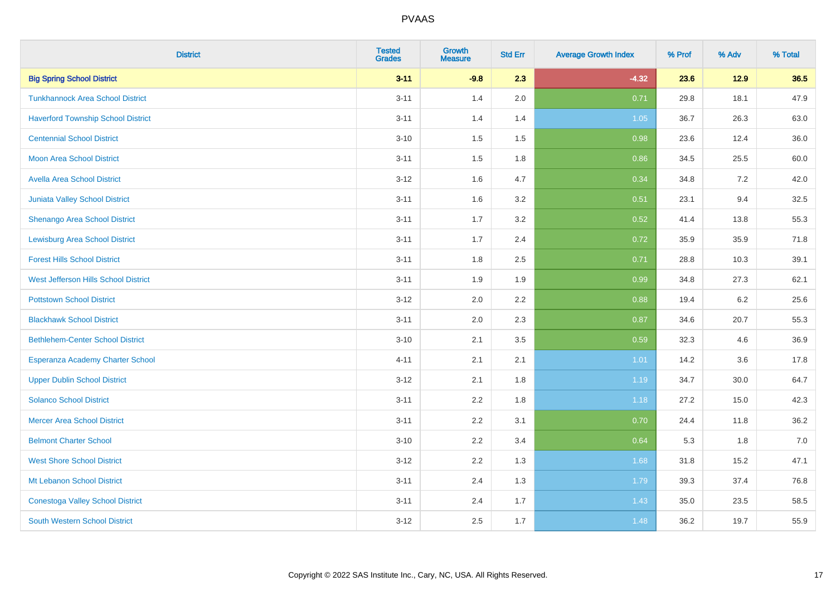| <b>District</b>                           | <b>Tested</b><br><b>Grades</b> | Growth<br><b>Measure</b> | <b>Std Err</b> | <b>Average Growth Index</b> | % Prof | % Adv  | % Total |
|-------------------------------------------|--------------------------------|--------------------------|----------------|-----------------------------|--------|--------|---------|
| <b>Big Spring School District</b>         | $3 - 11$                       | $-9.8$                   | 2.3            | $-4.32$                     | 23.6   | $12.9$ | 36.5    |
| <b>Tunkhannock Area School District</b>   | $3 - 11$                       | 1.4                      | 2.0            | 0.71                        | 29.8   | 18.1   | 47.9    |
| <b>Haverford Township School District</b> | $3 - 11$                       | 1.4                      | 1.4            | 1.05                        | 36.7   | 26.3   | 63.0    |
| <b>Centennial School District</b>         | $3 - 10$                       | 1.5                      | 1.5            | 0.98                        | 23.6   | 12.4   | 36.0    |
| <b>Moon Area School District</b>          | $3 - 11$                       | 1.5                      | 1.8            | 0.86                        | 34.5   | 25.5   | 60.0    |
| <b>Avella Area School District</b>        | $3 - 12$                       | 1.6                      | 4.7            | 0.34                        | 34.8   | 7.2    | 42.0    |
| Juniata Valley School District            | $3 - 11$                       | 1.6                      | 3.2            | 0.51                        | 23.1   | 9.4    | 32.5    |
| Shenango Area School District             | $3 - 11$                       | 1.7                      | 3.2            | 0.52                        | 41.4   | 13.8   | 55.3    |
| <b>Lewisburg Area School District</b>     | $3 - 11$                       | 1.7                      | 2.4            | 0.72                        | 35.9   | 35.9   | 71.8    |
| <b>Forest Hills School District</b>       | $3 - 11$                       | 1.8                      | $2.5\,$        | 0.71                        | 28.8   | 10.3   | 39.1    |
| West Jefferson Hills School District      | $3 - 11$                       | 1.9                      | 1.9            | 0.99                        | 34.8   | 27.3   | 62.1    |
| <b>Pottstown School District</b>          | $3 - 12$                       | 2.0                      | 2.2            | 0.88                        | 19.4   | 6.2    | 25.6    |
| <b>Blackhawk School District</b>          | $3 - 11$                       | 2.0                      | 2.3            | 0.87                        | 34.6   | 20.7   | 55.3    |
| <b>Bethlehem-Center School District</b>   | $3 - 10$                       | 2.1                      | 3.5            | 0.59                        | 32.3   | 4.6    | 36.9    |
| Esperanza Academy Charter School          | $4 - 11$                       | 2.1                      | 2.1            | 1.01                        | 14.2   | 3.6    | 17.8    |
| <b>Upper Dublin School District</b>       | $3 - 12$                       | 2.1                      | 1.8            | 1.19                        | 34.7   | 30.0   | 64.7    |
| <b>Solanco School District</b>            | $3 - 11$                       | 2.2                      | 1.8            | 1.18                        | 27.2   | 15.0   | 42.3    |
| <b>Mercer Area School District</b>        | $3 - 11$                       | 2.2                      | 3.1            | 0.70                        | 24.4   | 11.8   | 36.2    |
| <b>Belmont Charter School</b>             | $3 - 10$                       | 2.2                      | 3.4            | 0.64                        | 5.3    | 1.8    | 7.0     |
| <b>West Shore School District</b>         | $3 - 12$                       | 2.2                      | 1.3            | 1.68                        | 31.8   | 15.2   | 47.1    |
| Mt Lebanon School District                | $3 - 11$                       | 2.4                      | 1.3            | 1.79                        | 39.3   | 37.4   | 76.8    |
| <b>Conestoga Valley School District</b>   | $3 - 11$                       | 2.4                      | 1.7            | 1.43                        | 35.0   | 23.5   | 58.5    |
| <b>South Western School District</b>      | $3 - 12$                       | 2.5                      | 1.7            | 1.48                        | 36.2   | 19.7   | 55.9    |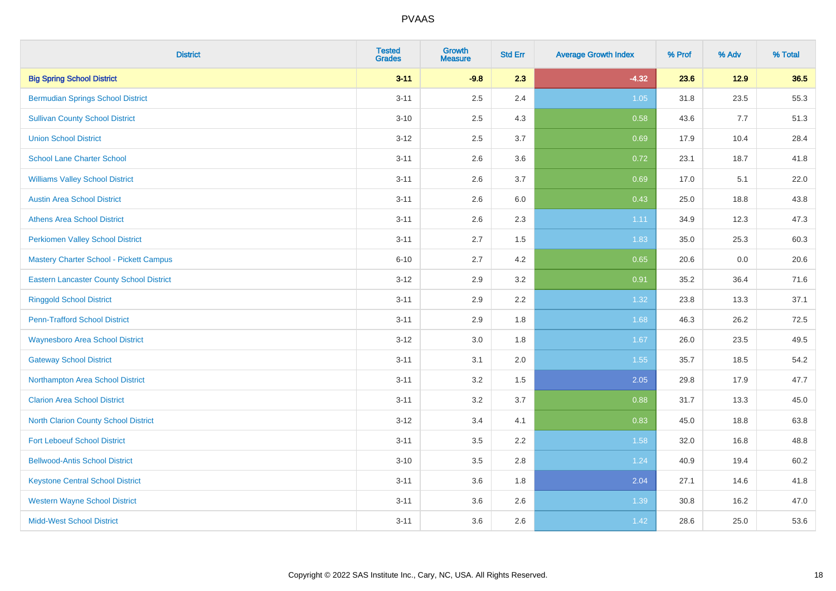| <b>District</b>                                 | <b>Tested</b><br><b>Grades</b> | <b>Growth</b><br><b>Measure</b> | <b>Std Err</b> | <b>Average Growth Index</b> | % Prof | % Adv | % Total |
|-------------------------------------------------|--------------------------------|---------------------------------|----------------|-----------------------------|--------|-------|---------|
| <b>Big Spring School District</b>               | $3 - 11$                       | $-9.8$                          | 2.3            | $-4.32$                     | 23.6   | 12.9  | 36.5    |
| <b>Bermudian Springs School District</b>        | $3 - 11$                       | 2.5                             | 2.4            | 1.05                        | 31.8   | 23.5  | 55.3    |
| <b>Sullivan County School District</b>          | $3 - 10$                       | 2.5                             | 4.3            | 0.58                        | 43.6   | 7.7   | 51.3    |
| <b>Union School District</b>                    | $3 - 12$                       | 2.5                             | 3.7            | 0.69                        | 17.9   | 10.4  | 28.4    |
| <b>School Lane Charter School</b>               | $3 - 11$                       | 2.6                             | 3.6            | 0.72                        | 23.1   | 18.7  | 41.8    |
| <b>Williams Valley School District</b>          | $3 - 11$                       | 2.6                             | 3.7            | 0.69                        | 17.0   | 5.1   | 22.0    |
| <b>Austin Area School District</b>              | $3 - 11$                       | 2.6                             | 6.0            | 0.43                        | 25.0   | 18.8  | 43.8    |
| <b>Athens Area School District</b>              | $3 - 11$                       | 2.6                             | 2.3            | 1.11                        | 34.9   | 12.3  | 47.3    |
| <b>Perkiomen Valley School District</b>         | $3 - 11$                       | 2.7                             | 1.5            | 1.83                        | 35.0   | 25.3  | 60.3    |
| Mastery Charter School - Pickett Campus         | $6 - 10$                       | 2.7                             | 4.2            | 0.65                        | 20.6   | 0.0   | 20.6    |
| <b>Eastern Lancaster County School District</b> | $3-12$                         | 2.9                             | 3.2            | 0.91                        | 35.2   | 36.4  | 71.6    |
| <b>Ringgold School District</b>                 | $3 - 11$                       | 2.9                             | 2.2            | 1.32                        | 23.8   | 13.3  | 37.1    |
| <b>Penn-Trafford School District</b>            | $3 - 11$                       | 2.9                             | 1.8            | 1.68                        | 46.3   | 26.2  | 72.5    |
| <b>Waynesboro Area School District</b>          | $3-12$                         | $3.0\,$                         | 1.8            | 1.67                        | 26.0   | 23.5  | 49.5    |
| <b>Gateway School District</b>                  | $3 - 11$                       | 3.1                             | 2.0            | 1.55                        | 35.7   | 18.5  | 54.2    |
| Northampton Area School District                | $3 - 11$                       | 3.2                             | 1.5            | 2.05                        | 29.8   | 17.9  | 47.7    |
| <b>Clarion Area School District</b>             | $3 - 11$                       | 3.2                             | 3.7            | 0.88                        | 31.7   | 13.3  | 45.0    |
| <b>North Clarion County School District</b>     | $3 - 12$                       | 3.4                             | 4.1            | 0.83                        | 45.0   | 18.8  | 63.8    |
| <b>Fort Leboeuf School District</b>             | $3 - 11$                       | $3.5\,$                         | 2.2            | 1.58                        | 32.0   | 16.8  | 48.8    |
| <b>Bellwood-Antis School District</b>           | $3 - 10$                       | 3.5                             | 2.8            | 1.24                        | 40.9   | 19.4  | 60.2    |
| <b>Keystone Central School District</b>         | $3 - 11$                       | 3.6                             | 1.8            | 2.04                        | 27.1   | 14.6  | 41.8    |
| <b>Western Wayne School District</b>            | $3 - 11$                       | 3.6                             | 2.6            | 1.39                        | 30.8   | 16.2  | 47.0    |
| <b>Midd-West School District</b>                | $3 - 11$                       | 3.6                             | 2.6            | 1.42                        | 28.6   | 25.0  | 53.6    |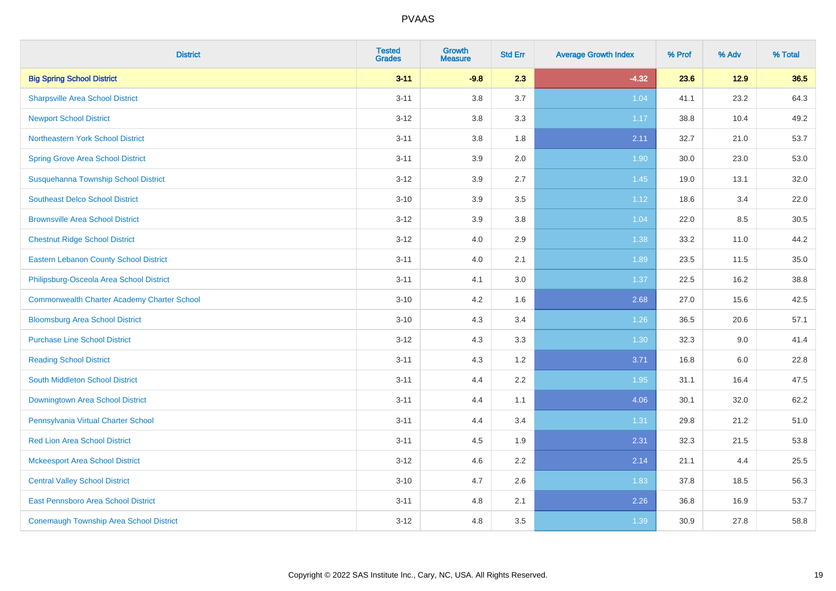| <b>District</b>                                    | <b>Tested</b><br><b>Grades</b> | <b>Growth</b><br><b>Measure</b> | <b>Std Err</b> | <b>Average Growth Index</b> | % Prof | % Adv | % Total |
|----------------------------------------------------|--------------------------------|---------------------------------|----------------|-----------------------------|--------|-------|---------|
| <b>Big Spring School District</b>                  | $3 - 11$                       | $-9.8$                          | 2.3            | $-4.32$                     | 23.6   | 12.9  | 36.5    |
| <b>Sharpsville Area School District</b>            | $3 - 11$                       | 3.8                             | 3.7            | 1.04                        | 41.1   | 23.2  | 64.3    |
| <b>Newport School District</b>                     | $3 - 12$                       | 3.8                             | 3.3            | 1.17                        | 38.8   | 10.4  | 49.2    |
| Northeastern York School District                  | $3 - 11$                       | 3.8                             | 1.8            | 2.11                        | 32.7   | 21.0  | 53.7    |
| <b>Spring Grove Area School District</b>           | $3 - 11$                       | 3.9                             | 2.0            | 1.90                        | 30.0   | 23.0  | 53.0    |
| Susquehanna Township School District               | $3 - 12$                       | 3.9                             | 2.7            | 1.45                        | 19.0   | 13.1  | 32.0    |
| <b>Southeast Delco School District</b>             | $3 - 10$                       | 3.9                             | 3.5            | 1.12                        | 18.6   | 3.4   | 22.0    |
| <b>Brownsville Area School District</b>            | $3 - 12$                       | 3.9                             | 3.8            | 1.04                        | 22.0   | 8.5   | 30.5    |
| <b>Chestnut Ridge School District</b>              | $3 - 12$                       | 4.0                             | 2.9            | 1.38                        | 33.2   | 11.0  | 44.2    |
| <b>Eastern Lebanon County School District</b>      | $3 - 11$                       | 4.0                             | 2.1            | 1.89                        | 23.5   | 11.5  | 35.0    |
| Philipsburg-Osceola Area School District           | $3 - 11$                       | 4.1                             | 3.0            | 1.37                        | 22.5   | 16.2  | 38.8    |
| <b>Commonwealth Charter Academy Charter School</b> | $3 - 10$                       | 4.2                             | 1.6            | 2.68                        | 27.0   | 15.6  | 42.5    |
| <b>Bloomsburg Area School District</b>             | $3 - 10$                       | 4.3                             | 3.4            | 1.26                        | 36.5   | 20.6  | 57.1    |
| <b>Purchase Line School District</b>               | $3 - 12$                       | 4.3                             | 3.3            | 1.30                        | 32.3   | 9.0   | 41.4    |
| <b>Reading School District</b>                     | $3 - 11$                       | 4.3                             | 1.2            | 3.71                        | 16.8   | 6.0   | 22.8    |
| <b>South Middleton School District</b>             | $3 - 11$                       | 4.4                             | 2.2            | 1.95                        | 31.1   | 16.4  | 47.5    |
| Downingtown Area School District                   | $3 - 11$                       | 4.4                             | 1.1            | 4.06                        | 30.1   | 32.0  | 62.2    |
| Pennsylvania Virtual Charter School                | $3 - 11$                       | 4.4                             | 3.4            | 1.31                        | 29.8   | 21.2  | 51.0    |
| <b>Red Lion Area School District</b>               | $3 - 11$                       | 4.5                             | 1.9            | 2.31                        | 32.3   | 21.5  | 53.8    |
| <b>Mckeesport Area School District</b>             | $3 - 12$                       | 4.6                             | 2.2            | 2.14                        | 21.1   | 4.4   | 25.5    |
| <b>Central Valley School District</b>              | $3 - 10$                       | 4.7                             | 2.6            | 1.83                        | 37.8   | 18.5  | 56.3    |
| East Pennsboro Area School District                | $3 - 11$                       | 4.8                             | 2.1            | 2.26                        | 36.8   | 16.9  | 53.7    |
| <b>Conemaugh Township Area School District</b>     | $3 - 12$                       | 4.8                             | 3.5            | 1.39                        | 30.9   | 27.8  | 58.8    |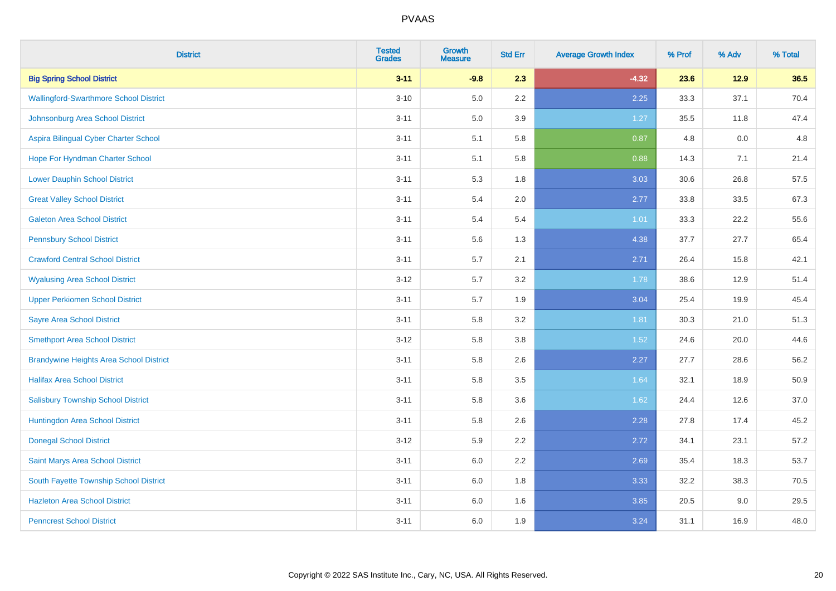| <b>District</b>                                | <b>Tested</b><br><b>Grades</b> | Growth<br><b>Measure</b> | <b>Std Err</b> | <b>Average Growth Index</b> | % Prof | % Adv  | % Total |
|------------------------------------------------|--------------------------------|--------------------------|----------------|-----------------------------|--------|--------|---------|
| <b>Big Spring School District</b>              | $3 - 11$                       | $-9.8$                   | 2.3            | $-4.32$                     | 23.6   | $12.9$ | 36.5    |
| <b>Wallingford-Swarthmore School District</b>  | $3 - 10$                       | 5.0                      | 2.2            | 2.25                        | 33.3   | 37.1   | 70.4    |
| Johnsonburg Area School District               | $3 - 11$                       | 5.0                      | 3.9            | 1.27                        | 35.5   | 11.8   | 47.4    |
| Aspira Bilingual Cyber Charter School          | $3 - 11$                       | 5.1                      | 5.8            | 0.87                        | 4.8    | 0.0    | 4.8     |
| Hope For Hyndman Charter School                | $3 - 11$                       | 5.1                      | 5.8            | 0.88                        | 14.3   | 7.1    | 21.4    |
| <b>Lower Dauphin School District</b>           | $3 - 11$                       | 5.3                      | 1.8            | 3.03                        | 30.6   | 26.8   | 57.5    |
| <b>Great Valley School District</b>            | $3 - 11$                       | 5.4                      | 2.0            | 2.77                        | 33.8   | 33.5   | 67.3    |
| <b>Galeton Area School District</b>            | $3 - 11$                       | 5.4                      | 5.4            | 1.01                        | 33.3   | 22.2   | 55.6    |
| <b>Pennsbury School District</b>               | $3 - 11$                       | 5.6                      | 1.3            | 4.38                        | 37.7   | 27.7   | 65.4    |
| <b>Crawford Central School District</b>        | $3 - 11$                       | 5.7                      | 2.1            | 2.71                        | 26.4   | 15.8   | 42.1    |
| <b>Wyalusing Area School District</b>          | $3 - 12$                       | 5.7                      | 3.2            | 1.78                        | 38.6   | 12.9   | 51.4    |
| <b>Upper Perkiomen School District</b>         | $3 - 11$                       | 5.7                      | 1.9            | 3.04                        | 25.4   | 19.9   | 45.4    |
| <b>Sayre Area School District</b>              | $3 - 11$                       | 5.8                      | 3.2            | 1.81                        | 30.3   | 21.0   | 51.3    |
| <b>Smethport Area School District</b>          | $3 - 12$                       | 5.8                      | 3.8            | 1.52                        | 24.6   | 20.0   | 44.6    |
| <b>Brandywine Heights Area School District</b> | $3 - 11$                       | 5.8                      | 2.6            | 2.27                        | 27.7   | 28.6   | 56.2    |
| <b>Halifax Area School District</b>            | $3 - 11$                       | 5.8                      | 3.5            | 1.64                        | 32.1   | 18.9   | 50.9    |
| <b>Salisbury Township School District</b>      | $3 - 11$                       | 5.8                      | 3.6            | 1.62                        | 24.4   | 12.6   | 37.0    |
| Huntingdon Area School District                | $3 - 11$                       | 5.8                      | 2.6            | 2.28                        | 27.8   | 17.4   | 45.2    |
| <b>Donegal School District</b>                 | $3 - 12$                       | 5.9                      | 2.2            | 2.72                        | 34.1   | 23.1   | 57.2    |
| Saint Marys Area School District               | $3 - 11$                       | $6.0\,$                  | 2.2            | 2.69                        | 35.4   | 18.3   | 53.7    |
| South Fayette Township School District         | $3 - 11$                       | 6.0                      | 1.8            | 3.33                        | 32.2   | 38.3   | 70.5    |
| <b>Hazleton Area School District</b>           | $3 - 11$                       | $6.0\,$                  | 1.6            | 3.85                        | 20.5   | 9.0    | 29.5    |
| <b>Penncrest School District</b>               | $3 - 11$                       | 6.0                      | 1.9            | 3.24                        | 31.1   | 16.9   | 48.0    |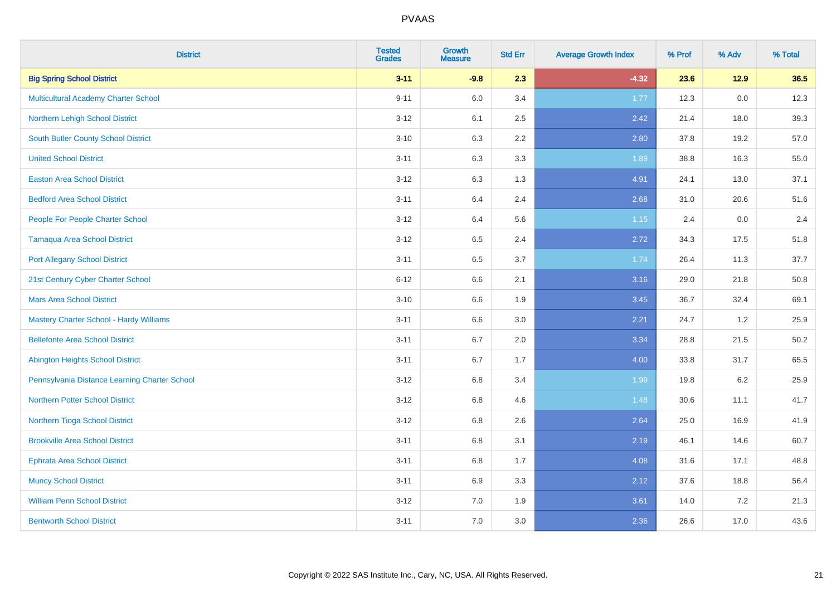| <b>District</b>                                | <b>Tested</b><br><b>Grades</b> | <b>Growth</b><br><b>Measure</b> | <b>Std Err</b> | <b>Average Growth Index</b> | % Prof | % Adv  | % Total |
|------------------------------------------------|--------------------------------|---------------------------------|----------------|-----------------------------|--------|--------|---------|
| <b>Big Spring School District</b>              | $3 - 11$                       | $-9.8$                          | 2.3            | $-4.32$                     | 23.6   | $12.9$ | 36.5    |
| <b>Multicultural Academy Charter School</b>    | $9 - 11$                       | 6.0                             | 3.4            | 1.77                        | 12.3   | 0.0    | 12.3    |
| Northern Lehigh School District                | $3 - 12$                       | 6.1                             | 2.5            | 2.42                        | 21.4   | 18.0   | 39.3    |
| <b>South Butler County School District</b>     | $3 - 10$                       | 6.3                             | 2.2            | 2.80                        | 37.8   | 19.2   | 57.0    |
| <b>United School District</b>                  | $3 - 11$                       | 6.3                             | 3.3            | 1.89                        | 38.8   | 16.3   | 55.0    |
| <b>Easton Area School District</b>             | $3 - 12$                       | 6.3                             | 1.3            | 4.91                        | 24.1   | 13.0   | 37.1    |
| <b>Bedford Area School District</b>            | $3 - 11$                       | 6.4                             | 2.4            | 2.68                        | 31.0   | 20.6   | 51.6    |
| People For People Charter School               | $3 - 12$                       | 6.4                             | 5.6            | 1.15                        | 2.4    | 0.0    | 2.4     |
| Tamaqua Area School District                   | $3 - 12$                       | 6.5                             | 2.4            | 2.72                        | 34.3   | 17.5   | 51.8    |
| <b>Port Allegany School District</b>           | $3 - 11$                       | 6.5                             | 3.7            | 1.74                        | 26.4   | 11.3   | 37.7    |
| 21st Century Cyber Charter School              | $6 - 12$                       | 6.6                             | 2.1            | 3.16                        | 29.0   | 21.8   | 50.8    |
| <b>Mars Area School District</b>               | $3 - 10$                       | 6.6                             | 1.9            | 3.45                        | 36.7   | 32.4   | 69.1    |
| <b>Mastery Charter School - Hardy Williams</b> | $3 - 11$                       | 6.6                             | 3.0            | 2.21                        | 24.7   | 1.2    | 25.9    |
| <b>Bellefonte Area School District</b>         | $3 - 11$                       | 6.7                             | 2.0            | 3.34                        | 28.8   | 21.5   | 50.2    |
| <b>Abington Heights School District</b>        | $3 - 11$                       | 6.7                             | 1.7            | 4.00                        | 33.8   | 31.7   | 65.5    |
| Pennsylvania Distance Learning Charter School  | $3 - 12$                       | 6.8                             | 3.4            | 1.99                        | 19.8   | 6.2    | 25.9    |
| <b>Northern Potter School District</b>         | $3-12$                         | 6.8                             | 4.6            | 1.48                        | 30.6   | 11.1   | 41.7    |
| Northern Tioga School District                 | $3-12$                         | 6.8                             | 2.6            | 2.64                        | 25.0   | 16.9   | 41.9    |
| <b>Brookville Area School District</b>         | $3 - 11$                       | 6.8                             | 3.1            | 2.19                        | 46.1   | 14.6   | 60.7    |
| <b>Ephrata Area School District</b>            | $3 - 11$                       | 6.8                             | 1.7            | 4.08                        | 31.6   | 17.1   | 48.8    |
| <b>Muncy School District</b>                   | $3 - 11$                       | 6.9                             | 3.3            | 2.12                        | 37.6   | 18.8   | 56.4    |
| <b>William Penn School District</b>            | $3 - 12$                       | 7.0                             | 1.9            | 3.61                        | 14.0   | 7.2    | 21.3    |
| <b>Bentworth School District</b>               | $3 - 11$                       | 7.0                             | 3.0            | 2.36                        | 26.6   | 17.0   | 43.6    |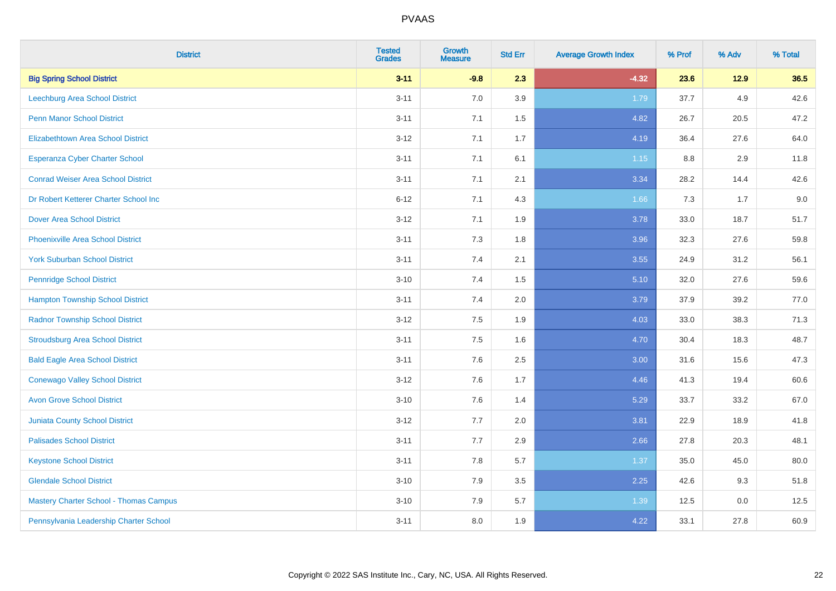| <b>District</b>                               | <b>Tested</b><br><b>Grades</b> | <b>Growth</b><br><b>Measure</b> | <b>Std Err</b> | <b>Average Growth Index</b> | % Prof | % Adv  | % Total |
|-----------------------------------------------|--------------------------------|---------------------------------|----------------|-----------------------------|--------|--------|---------|
| <b>Big Spring School District</b>             | $3 - 11$                       | $-9.8$                          | 2.3            | $-4.32$                     | 23.6   | $12.9$ | 36.5    |
| Leechburg Area School District                | $3 - 11$                       | 7.0                             | 3.9            | 1.79                        | 37.7   | 4.9    | 42.6    |
| <b>Penn Manor School District</b>             | $3 - 11$                       | 7.1                             | 1.5            | 4.82                        | 26.7   | 20.5   | 47.2    |
| <b>Elizabethtown Area School District</b>     | $3 - 12$                       | 7.1                             | 1.7            | 4.19                        | 36.4   | 27.6   | 64.0    |
| <b>Esperanza Cyber Charter School</b>         | $3 - 11$                       | 7.1                             | 6.1            | 1.15                        | 8.8    | 2.9    | 11.8    |
| <b>Conrad Weiser Area School District</b>     | $3 - 11$                       | 7.1                             | 2.1            | 3.34                        | 28.2   | 14.4   | 42.6    |
| Dr Robert Ketterer Charter School Inc         | $6 - 12$                       | 7.1                             | 4.3            | 1.66                        | 7.3    | 1.7    | 9.0     |
| <b>Dover Area School District</b>             | $3 - 12$                       | 7.1                             | 1.9            | 3.78                        | 33.0   | 18.7   | 51.7    |
| <b>Phoenixville Area School District</b>      | $3 - 11$                       | 7.3                             | 1.8            | 3.96                        | 32.3   | 27.6   | 59.8    |
| <b>York Suburban School District</b>          | $3 - 11$                       | 7.4                             | 2.1            | 3.55                        | 24.9   | 31.2   | 56.1    |
| <b>Pennridge School District</b>              | $3 - 10$                       | 7.4                             | 1.5            | 5.10                        | 32.0   | 27.6   | 59.6    |
| <b>Hampton Township School District</b>       | $3 - 11$                       | 7.4                             | 2.0            | 3.79                        | 37.9   | 39.2   | 77.0    |
| <b>Radnor Township School District</b>        | $3 - 12$                       | 7.5                             | 1.9            | 4.03                        | 33.0   | 38.3   | 71.3    |
| <b>Stroudsburg Area School District</b>       | $3 - 11$                       | 7.5                             | 1.6            | 4.70                        | 30.4   | 18.3   | 48.7    |
| <b>Bald Eagle Area School District</b>        | $3 - 11$                       | 7.6                             | 2.5            | 3.00                        | 31.6   | 15.6   | 47.3    |
| <b>Conewago Valley School District</b>        | $3 - 12$                       | 7.6                             | 1.7            | 4.46                        | 41.3   | 19.4   | 60.6    |
| <b>Avon Grove School District</b>             | $3 - 10$                       | 7.6                             | 1.4            | 5.29                        | 33.7   | 33.2   | 67.0    |
| Juniata County School District                | $3-12$                         | 7.7                             | 2.0            | 3.81                        | 22.9   | 18.9   | 41.8    |
| <b>Palisades School District</b>              | $3 - 11$                       | 7.7                             | 2.9            | 2.66                        | 27.8   | 20.3   | 48.1    |
| <b>Keystone School District</b>               | $3 - 11$                       | 7.8                             | 5.7            | 1.37                        | 35.0   | 45.0   | 80.0    |
| <b>Glendale School District</b>               | $3 - 10$                       | 7.9                             | 3.5            | 2.25                        | 42.6   | 9.3    | 51.8    |
| <b>Mastery Charter School - Thomas Campus</b> | $3 - 10$                       | 7.9                             | 5.7            | 1.39                        | 12.5   | 0.0    | 12.5    |
| Pennsylvania Leadership Charter School        | $3 - 11$                       | 8.0                             | 1.9            | 4.22                        | 33.1   | 27.8   | 60.9    |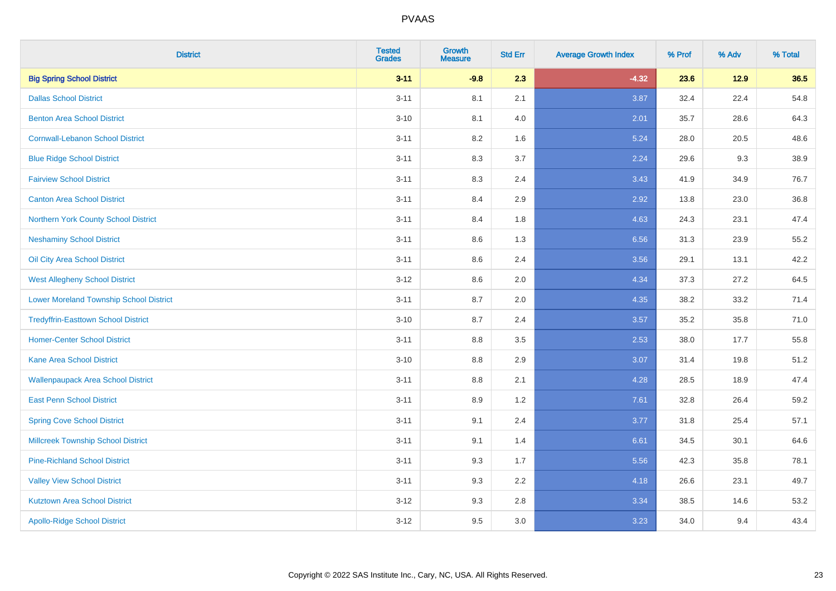| <b>District</b>                                | <b>Tested</b><br><b>Grades</b> | <b>Growth</b><br><b>Measure</b> | <b>Std Err</b> | <b>Average Growth Index</b> | % Prof | % Adv | % Total |
|------------------------------------------------|--------------------------------|---------------------------------|----------------|-----------------------------|--------|-------|---------|
| <b>Big Spring School District</b>              | $3 - 11$                       | $-9.8$                          | 2.3            | $-4.32$                     | 23.6   | 12.9  | 36.5    |
| <b>Dallas School District</b>                  | $3 - 11$                       | 8.1                             | 2.1            | 3.87                        | 32.4   | 22.4  | 54.8    |
| <b>Benton Area School District</b>             | $3 - 10$                       | 8.1                             | 4.0            | 2.01                        | 35.7   | 28.6  | 64.3    |
| <b>Cornwall-Lebanon School District</b>        | $3 - 11$                       | 8.2                             | 1.6            | 5.24                        | 28.0   | 20.5  | 48.6    |
| <b>Blue Ridge School District</b>              | $3 - 11$                       | 8.3                             | 3.7            | 2.24                        | 29.6   | 9.3   | 38.9    |
| <b>Fairview School District</b>                | $3 - 11$                       | 8.3                             | 2.4            | 3.43                        | 41.9   | 34.9  | 76.7    |
| <b>Canton Area School District</b>             | $3 - 11$                       | 8.4                             | 2.9            | 2.92                        | 13.8   | 23.0  | 36.8    |
| Northern York County School District           | $3 - 11$                       | 8.4                             | 1.8            | 4.63                        | 24.3   | 23.1  | 47.4    |
| <b>Neshaminy School District</b>               | $3 - 11$                       | 8.6                             | 1.3            | 6.56                        | 31.3   | 23.9  | 55.2    |
| Oil City Area School District                  | $3 - 11$                       | 8.6                             | 2.4            | 3.56                        | 29.1   | 13.1  | 42.2    |
| <b>West Allegheny School District</b>          | $3-12$                         | 8.6                             | 2.0            | 4.34                        | 37.3   | 27.2  | 64.5    |
| <b>Lower Moreland Township School District</b> | $3 - 11$                       | 8.7                             | 2.0            | 4.35                        | 38.2   | 33.2  | 71.4    |
| <b>Tredyffrin-Easttown School District</b>     | $3 - 10$                       | 8.7                             | 2.4            | 3.57                        | 35.2   | 35.8  | 71.0    |
| <b>Homer-Center School District</b>            | $3 - 11$                       | 8.8                             | 3.5            | 2.53                        | 38.0   | 17.7  | 55.8    |
| <b>Kane Area School District</b>               | $3 - 10$                       | 8.8                             | 2.9            | 3.07                        | 31.4   | 19.8  | 51.2    |
| <b>Wallenpaupack Area School District</b>      | $3 - 11$                       | $8.8\,$                         | 2.1            | 4.28                        | 28.5   | 18.9  | 47.4    |
| <b>East Penn School District</b>               | $3 - 11$                       | 8.9                             | 1.2            | 7.61                        | 32.8   | 26.4  | 59.2    |
| <b>Spring Cove School District</b>             | $3 - 11$                       | 9.1                             | 2.4            | 3.77                        | 31.8   | 25.4  | 57.1    |
| <b>Millcreek Township School District</b>      | $3 - 11$                       | 9.1                             | 1.4            | 6.61                        | 34.5   | 30.1  | 64.6    |
| <b>Pine-Richland School District</b>           | $3 - 11$                       | 9.3                             | 1.7            | 5.56                        | 42.3   | 35.8  | 78.1    |
| <b>Valley View School District</b>             | $3 - 11$                       | 9.3                             | 2.2            | 4.18                        | 26.6   | 23.1  | 49.7    |
| <b>Kutztown Area School District</b>           | $3-12$                         | 9.3                             | 2.8            | 3.34                        | 38.5   | 14.6  | 53.2    |
| <b>Apollo-Ridge School District</b>            | $3 - 12$                       | 9.5                             | 3.0            | 3.23                        | 34.0   | 9.4   | 43.4    |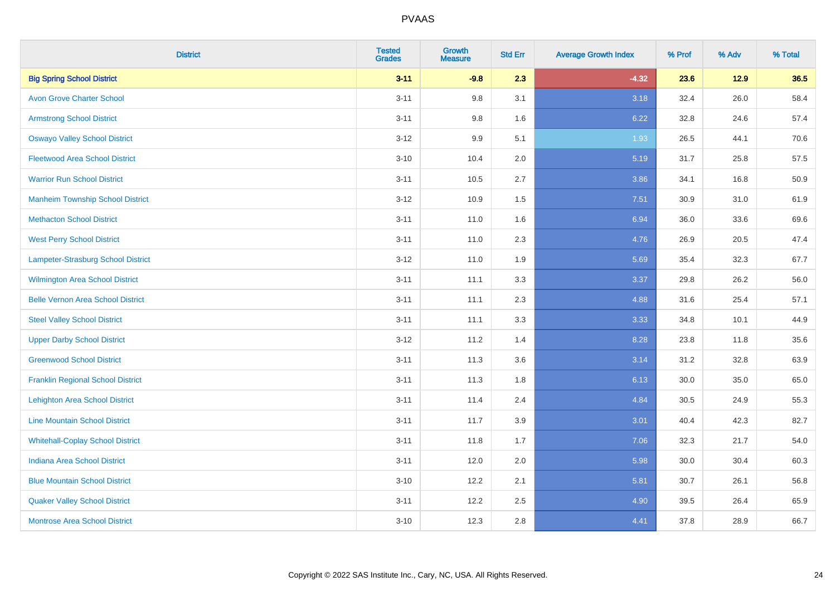| <b>District</b>                          | <b>Tested</b><br><b>Grades</b> | <b>Growth</b><br><b>Measure</b> | <b>Std Err</b> | <b>Average Growth Index</b> | % Prof | % Adv  | % Total |
|------------------------------------------|--------------------------------|---------------------------------|----------------|-----------------------------|--------|--------|---------|
| <b>Big Spring School District</b>        | $3 - 11$                       | $-9.8$                          | 2.3            | $-4.32$                     | 23.6   | $12.9$ | 36.5    |
| <b>Avon Grove Charter School</b>         | $3 - 11$                       | 9.8                             | 3.1            | 3.18                        | 32.4   | 26.0   | 58.4    |
| <b>Armstrong School District</b>         | $3 - 11$                       | 9.8                             | 1.6            | 6.22                        | 32.8   | 24.6   | 57.4    |
| <b>Oswayo Valley School District</b>     | $3 - 12$                       | 9.9                             | 5.1            | 1.93                        | 26.5   | 44.1   | 70.6    |
| <b>Fleetwood Area School District</b>    | $3 - 10$                       | 10.4                            | 2.0            | 5.19                        | 31.7   | 25.8   | 57.5    |
| <b>Warrior Run School District</b>       | $3 - 11$                       | 10.5                            | 2.7            | 3.86                        | 34.1   | 16.8   | 50.9    |
| <b>Manheim Township School District</b>  | $3 - 12$                       | 10.9                            | 1.5            | 7.51                        | 30.9   | 31.0   | 61.9    |
| <b>Methacton School District</b>         | $3 - 11$                       | 11.0                            | 1.6            | 6.94                        | 36.0   | 33.6   | 69.6    |
| <b>West Perry School District</b>        | $3 - 11$                       | 11.0                            | 2.3            | 4.76                        | 26.9   | 20.5   | 47.4    |
| Lampeter-Strasburg School District       | $3 - 12$                       | 11.0                            | 1.9            | 5.69                        | 35.4   | 32.3   | 67.7    |
| Wilmington Area School District          | $3 - 11$                       | 11.1                            | 3.3            | 3.37                        | 29.8   | 26.2   | 56.0    |
| <b>Belle Vernon Area School District</b> | $3 - 11$                       | 11.1                            | 2.3            | 4.88                        | 31.6   | 25.4   | 57.1    |
| <b>Steel Valley School District</b>      | $3 - 11$                       | 11.1                            | 3.3            | 3.33                        | 34.8   | 10.1   | 44.9    |
| <b>Upper Darby School District</b>       | $3-12$                         | 11.2                            | 1.4            | 8.28                        | 23.8   | 11.8   | 35.6    |
| <b>Greenwood School District</b>         | $3 - 11$                       | 11.3                            | 3.6            | 3.14                        | 31.2   | 32.8   | 63.9    |
| <b>Franklin Regional School District</b> | $3 - 11$                       | 11.3                            | 1.8            | 6.13                        | 30.0   | 35.0   | 65.0    |
| <b>Lehighton Area School District</b>    | $3 - 11$                       | 11.4                            | 2.4            | 4.84                        | 30.5   | 24.9   | 55.3    |
| <b>Line Mountain School District</b>     | $3 - 11$                       | 11.7                            | 3.9            | 3.01                        | 40.4   | 42.3   | 82.7    |
| <b>Whitehall-Coplay School District</b>  | $3 - 11$                       | 11.8                            | 1.7            | 7.06                        | 32.3   | 21.7   | 54.0    |
| <b>Indiana Area School District</b>      | $3 - 11$                       | 12.0                            | 2.0            | 5.98                        | 30.0   | 30.4   | 60.3    |
| <b>Blue Mountain School District</b>     | $3 - 10$                       | 12.2                            | 2.1            | 5.81                        | 30.7   | 26.1   | 56.8    |
| <b>Quaker Valley School District</b>     | $3 - 11$                       | 12.2                            | 2.5            | 4.90                        | 39.5   | 26.4   | 65.9    |
| <b>Montrose Area School District</b>     | $3 - 10$                       | 12.3                            | 2.8            | 4.41                        | 37.8   | 28.9   | 66.7    |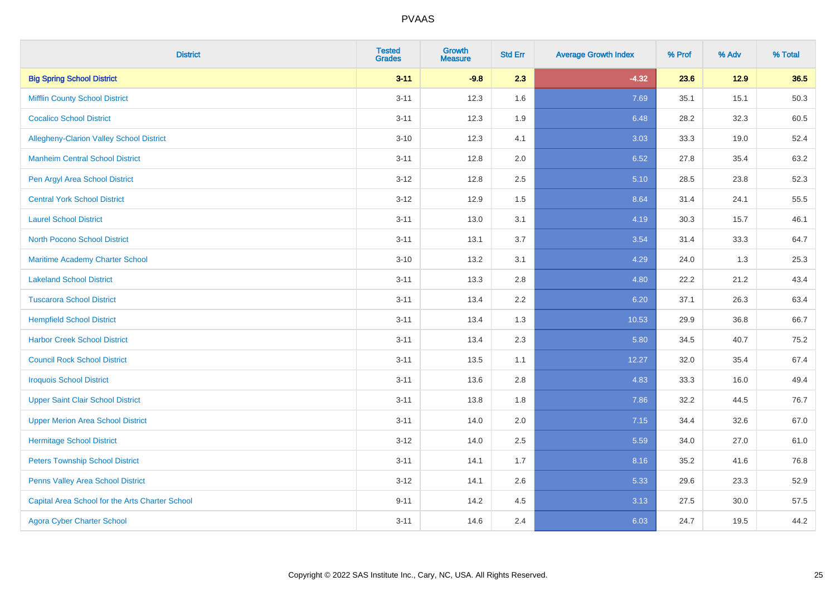| <b>District</b>                                 | <b>Tested</b><br><b>Grades</b> | Growth<br><b>Measure</b> | <b>Std Err</b> | <b>Average Growth Index</b> | % Prof | % Adv  | % Total |
|-------------------------------------------------|--------------------------------|--------------------------|----------------|-----------------------------|--------|--------|---------|
| <b>Big Spring School District</b>               | $3 - 11$                       | $-9.8$                   | 2.3            | $-4.32$                     | 23.6   | $12.9$ | 36.5    |
| <b>Mifflin County School District</b>           | $3 - 11$                       | 12.3                     | 1.6            | 7.69                        | 35.1   | 15.1   | 50.3    |
| <b>Cocalico School District</b>                 | $3 - 11$                       | 12.3                     | 1.9            | 6.48                        | 28.2   | 32.3   | 60.5    |
| Allegheny-Clarion Valley School District        | $3 - 10$                       | 12.3                     | 4.1            | 3.03                        | 33.3   | 19.0   | 52.4    |
| <b>Manheim Central School District</b>          | $3 - 11$                       | 12.8                     | 2.0            | 6.52                        | 27.8   | 35.4   | 63.2    |
| Pen Argyl Area School District                  | $3 - 12$                       | 12.8                     | 2.5            | 5.10                        | 28.5   | 23.8   | 52.3    |
| <b>Central York School District</b>             | $3-12$                         | 12.9                     | 1.5            | 8.64                        | 31.4   | 24.1   | 55.5    |
| <b>Laurel School District</b>                   | $3 - 11$                       | 13.0                     | 3.1            | 4.19                        | 30.3   | 15.7   | 46.1    |
| North Pocono School District                    | $3 - 11$                       | 13.1                     | 3.7            | 3.54                        | 31.4   | 33.3   | 64.7    |
| <b>Maritime Academy Charter School</b>          | $3 - 10$                       | 13.2                     | 3.1            | 4.29                        | 24.0   | 1.3    | 25.3    |
| <b>Lakeland School District</b>                 | $3 - 11$                       | 13.3                     | 2.8            | 4.80                        | 22.2   | 21.2   | 43.4    |
| <b>Tuscarora School District</b>                | $3 - 11$                       | 13.4                     | 2.2            | 6.20                        | 37.1   | 26.3   | 63.4    |
| <b>Hempfield School District</b>                | $3 - 11$                       | 13.4                     | 1.3            | 10.53                       | 29.9   | 36.8   | 66.7    |
| <b>Harbor Creek School District</b>             | $3 - 11$                       | 13.4                     | 2.3            | 5.80                        | 34.5   | 40.7   | 75.2    |
| <b>Council Rock School District</b>             | $3 - 11$                       | 13.5                     | 1.1            | 12.27                       | 32.0   | 35.4   | 67.4    |
| <b>Iroquois School District</b>                 | $3 - 11$                       | 13.6                     | 2.8            | 4.83                        | 33.3   | 16.0   | 49.4    |
| <b>Upper Saint Clair School District</b>        | $3 - 11$                       | 13.8                     | 1.8            | 7.86                        | 32.2   | 44.5   | 76.7    |
| <b>Upper Merion Area School District</b>        | $3 - 11$                       | 14.0                     | 2.0            | 7.15                        | 34.4   | 32.6   | 67.0    |
| <b>Hermitage School District</b>                | $3 - 12$                       | 14.0                     | 2.5            | 5.59                        | 34.0   | 27.0   | 61.0    |
| <b>Peters Township School District</b>          | $3 - 11$                       | 14.1                     | 1.7            | 8.16                        | 35.2   | 41.6   | 76.8    |
| Penns Valley Area School District               | $3 - 12$                       | 14.1                     | 2.6            | 5.33                        | 29.6   | 23.3   | 52.9    |
| Capital Area School for the Arts Charter School | $9 - 11$                       | 14.2                     | 4.5            | 3.13                        | 27.5   | 30.0   | 57.5    |
| <b>Agora Cyber Charter School</b>               | $3 - 11$                       | 14.6                     | 2.4            | 6.03                        | 24.7   | 19.5   | 44.2    |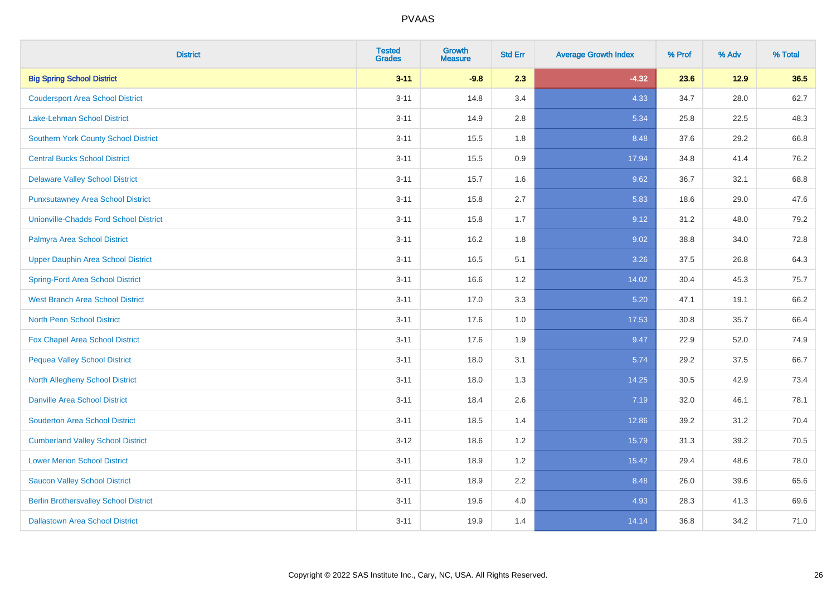| <b>District</b>                               | <b>Tested</b><br><b>Grades</b> | <b>Growth</b><br><b>Measure</b> | <b>Std Err</b> | <b>Average Growth Index</b> | % Prof | % Adv  | % Total |
|-----------------------------------------------|--------------------------------|---------------------------------|----------------|-----------------------------|--------|--------|---------|
| <b>Big Spring School District</b>             | $3 - 11$                       | $-9.8$                          | 2.3            | $-4.32$                     | 23.6   | $12.9$ | 36.5    |
| <b>Coudersport Area School District</b>       | $3 - 11$                       | 14.8                            | 3.4            | 4.33                        | 34.7   | 28.0   | 62.7    |
| Lake-Lehman School District                   | $3 - 11$                       | 14.9                            | 2.8            | 5.34                        | 25.8   | 22.5   | 48.3    |
| <b>Southern York County School District</b>   | $3 - 11$                       | 15.5                            | 1.8            | 8.48                        | 37.6   | 29.2   | 66.8    |
| <b>Central Bucks School District</b>          | $3 - 11$                       | 15.5                            | 0.9            | 17.94                       | 34.8   | 41.4   | 76.2    |
| <b>Delaware Valley School District</b>        | $3 - 11$                       | 15.7                            | 1.6            | 9.62                        | 36.7   | 32.1   | 68.8    |
| <b>Punxsutawney Area School District</b>      | $3 - 11$                       | 15.8                            | 2.7            | 5.83                        | 18.6   | 29.0   | 47.6    |
| <b>Unionville-Chadds Ford School District</b> | $3 - 11$                       | 15.8                            | 1.7            | 9.12                        | 31.2   | 48.0   | 79.2    |
| Palmyra Area School District                  | $3 - 11$                       | 16.2                            | 1.8            | 9.02                        | 38.8   | 34.0   | 72.8    |
| <b>Upper Dauphin Area School District</b>     | $3 - 11$                       | 16.5                            | 5.1            | 3.26                        | 37.5   | 26.8   | 64.3    |
| <b>Spring-Ford Area School District</b>       | $3 - 11$                       | 16.6                            | 1.2            | 14.02                       | 30.4   | 45.3   | 75.7    |
| <b>West Branch Area School District</b>       | $3 - 11$                       | 17.0                            | 3.3            | 5.20                        | 47.1   | 19.1   | 66.2    |
| North Penn School District                    | $3 - 11$                       | 17.6                            | 1.0            | 17.53                       | 30.8   | 35.7   | 66.4    |
| <b>Fox Chapel Area School District</b>        | $3 - 11$                       | 17.6                            | 1.9            | 9.47                        | 22.9   | 52.0   | 74.9    |
| <b>Pequea Valley School District</b>          | $3 - 11$                       | 18.0                            | 3.1            | 5.74                        | 29.2   | 37.5   | 66.7    |
| North Allegheny School District               | $3 - 11$                       | 18.0                            | 1.3            | 14.25                       | 30.5   | 42.9   | 73.4    |
| <b>Danville Area School District</b>          | $3 - 11$                       | 18.4                            | 2.6            | 7.19                        | 32.0   | 46.1   | 78.1    |
| <b>Souderton Area School District</b>         | $3 - 11$                       | 18.5                            | 1.4            | 12.86                       | 39.2   | 31.2   | 70.4    |
| <b>Cumberland Valley School District</b>      | $3 - 12$                       | 18.6                            | 1.2            | 15.79                       | 31.3   | 39.2   | 70.5    |
| <b>Lower Merion School District</b>           | $3 - 11$                       | 18.9                            | 1.2            | 15.42                       | 29.4   | 48.6   | 78.0    |
| <b>Saucon Valley School District</b>          | $3 - 11$                       | 18.9                            | 2.2            | 8.48                        | 26.0   | 39.6   | 65.6    |
| <b>Berlin Brothersvalley School District</b>  | $3 - 11$                       | 19.6                            | 4.0            | 4.93                        | 28.3   | 41.3   | 69.6    |
| <b>Dallastown Area School District</b>        | $3 - 11$                       | 19.9                            | 1.4            | 14.14                       | 36.8   | 34.2   | 71.0    |